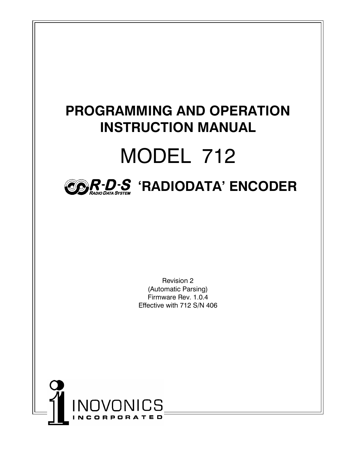## **PROGRAMMING AND OPERATION INSTRUCTION MANUAL** MODEL 712 **R RADIO D D ATA SYSTEM S JRADIODATA ENCODER**

Revision 2 (Automatic Parsing) Firmware Rev. 1.0.4 Effective with 712 S/N 406

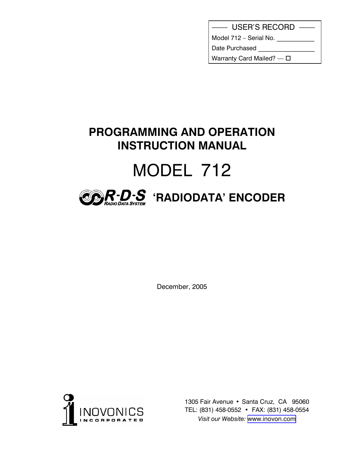|  | <b>USER'S RECORD</b> |  |
|--|----------------------|--|
|--|----------------------|--|

Model  $712 -$  Serial No.  $\sqrt{2}$ 

Date Purchased

Warranty Card Mailed?  $\Box$ 

## **PROGRAMMING AND OPERATION INSTRUCTION MANUAL** MODEL 712



December, 2005



1305 Fair Avenue · Santa Cruz, CA 95060 TEL: (831) 458-0552 • FAX: (831) 458-0554 *Visit our Website:* [www.inovon.com](http://www.inovon.com)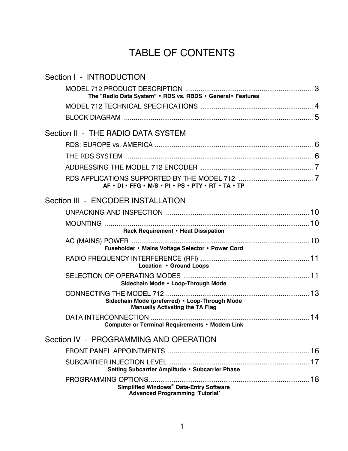## TABLE OF CONTENTS

| Section I - INTRODUCTION                                                                 |    |
|------------------------------------------------------------------------------------------|----|
| The "Radio Data System" . RDS vs. RBDS . General . Features                              |    |
|                                                                                          |    |
|                                                                                          |    |
| Section II - THE RADIO DATA SYSTEM                                                       |    |
|                                                                                          |    |
|                                                                                          |    |
| AF . DI . FFG . M/S . PI . PS . PTY . RT . TA . TP                                       |    |
| Section III - ENCODER INSTALLATION                                                       |    |
|                                                                                          |    |
| Rack Requirement • Heat Dissipation                                                      |    |
| Fuseholder • Mains Voltage Selector • Power Cord                                         |    |
| Location • Ground Loops                                                                  |    |
| Sidechain Mode . Loop-Through Mode                                                       |    |
| Sidechain Mode (preferred) • Loop-Through Mode<br><b>Manually Activating the TA Flag</b> |    |
| <b>Computer or Terminal Requirements • Modem Link</b>                                    |    |
| Section IV - PROGRAMMING AND OPERATION                                                   |    |
|                                                                                          |    |
| Setting Subcarrier Amplitude · Subcarrier Phase                                          |    |
|                                                                                          | 18 |
| Simplified Windows® Data-Entry Software<br><b>Advanced Programming 'Tutorial'</b>        |    |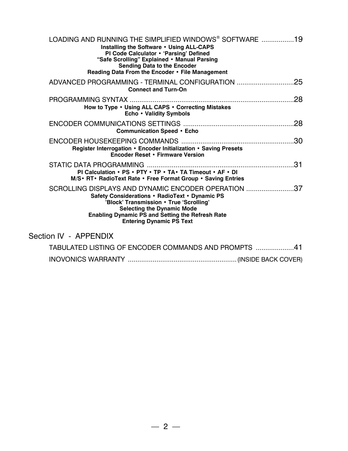| LOADING AND RUNNING THE SIMPLIFIED WINDOWS® SOFTWARE 19<br>Installing the Software . Using ALL-CAPS<br>PI Code Calculator . 'Parsing' Defined<br>"Safe Scrolling" Explained . Manual Parsing<br><b>Sending Data to the Encoder</b><br>Reading Data From the Encoder • File Management |
|---------------------------------------------------------------------------------------------------------------------------------------------------------------------------------------------------------------------------------------------------------------------------------------|
| ADVANCED PROGRAMMING - TERMINAL CONFIGURATION 25<br><b>Connect and Turn-On</b>                                                                                                                                                                                                        |
| .28<br>How to Type • Using ALL CAPS • Correcting Mistakes<br>Echo • Validity Symbols                                                                                                                                                                                                  |
| <b>Communication Speed • Echo</b>                                                                                                                                                                                                                                                     |
| .30<br>Register Interrogation • Encoder Initialization • Saving Presets<br><b>Encoder Reset • Firmware Version</b>                                                                                                                                                                    |
| PI Calculation • PS • PTY • TP • TA • TA Timeout • AF • DI<br>M/S • RT • RadioText Rate • Free Format Group • Saving Entries                                                                                                                                                          |
| SCROLLING DISPLAYS AND DYNAMIC ENCODER OPERATION 37<br>Safety Considerations • RadioText • Dynamic PS<br>'Block' Transmission . True 'Scrolling'<br><b>Selecting the Dynamic Mode</b><br><b>Enabling Dynamic PS and Setting the Refresh Rate</b><br><b>Entering Dynamic PS Text</b>   |
| Section IV - APPENDIX                                                                                                                                                                                                                                                                 |
| TABULATED LISTING OF ENCODER COMMANDS AND PROMPTS 41                                                                                                                                                                                                                                  |
|                                                                                                                                                                                                                                                                                       |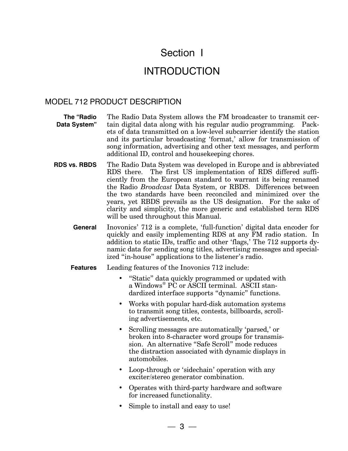## Section I

## INTRODUCTION

#### MODEL 712 PRODUCT DESCRIPTION

**The "Radio Data System** The Radio Data System allows the FM broadcaster to transmit certain digital data along with his regular audio programming. Packets of data transmitted on a low-level subcarrier identify the station and its particular broadcasting 'format,' allow for transmission of song information, advertising and other text messages, and perform additional ID, control and housekeeping chores.

**RDS vs. RBDS** The Radio Data System was developed in Europe and is abbreviated RDS there. The first US implementation of RDS differed sufficiently from the European standard to warrant its being renamed the Radio *Broadcast* Data System, or RBDS. Differences between the two standards have been reconciled and minimized over the years, yet RBDS prevails as the US designation. For the sake of clarity and simplicity, the more generic and established term RDS will be used throughout this Manual.

**General** Inovonics' 712 is a complete, 'full-function' digital data encoder for quickly and easily implementing RDS at any FM radio station. In addition to static IDs, traffic and other 'flags,' The 712 supports dynamic data for sending song titles, advertising messages and specialized "in-house" applications to the listener's radio.

**Features** Leading features of the Inovonics 712 include:

- "Static" data quickly programmed or updated with a Windows® PC or ASCII terminal. ASCII standardized interface supports "dynamic" functions.
- Works with popular hard-disk automation systems to transmit song titles, contests, billboards, scrolling advertisements, etc.
- Scrolling messages are automatically 'parsed,' or broken into 8-character word groups for transmission. An alternative "Safe Scroll" mode reduces the distraction associated with dynamic displays in automobiles.
- Loop-through or 'sidechain' operation with any exciter/stereo generator combination.
- Operates with third-party hardware and software for increased functionality.
- Simple to install and easy to use!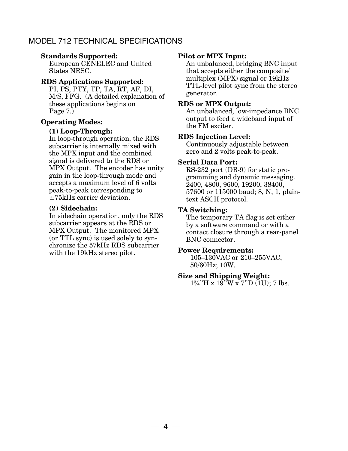#### MODEL 712 TECHNICAL SPECIFICATIONS

#### **Standards Supported:**

European CENELEC and United States NRSC.

#### **RDS Applications Supported:**

PI, PS, PTY, TP, TA, RT, AF, DI, M/S, FFG. (A detailed explanation of these applications begins on Page 7.)

#### **Operating Modes:**

#### **(1) Loop-Through:**

In loop-through operation, the RDS subcarrier is internally mixed with the MPX input and the combined signal is delivered to the RDS or MPX Output. The encoder has unity gain in the loop-through mode and accepts a maximum level of 6 volts peak-to-peak corresponding to ±75kHz carrier deviation.

#### **(2) Sidechain:**

In sidechain operation, only the RDS subcarrier appears at the RDS or MPX Output. The monitored MPX (or TTL sync) is used solely to synchronize the 57kHz RDS subcarrier with the 19kHz stereo pilot.

#### **Pilot or MPX Input:**

An unbalanced, bridging BNC input that accepts either the composite/ multiplex (MPX) signal or 19kHz TTL-level pilot sync from the stereo generator.

#### **RDS or MPX Output:**

An unbalanced, low-impedance BNC output to feed a wideband input of the FM exciter.

#### **RDS Injection Level:**

Continuously adjustable between zero and 2 volts peak-to-peak.

#### **Serial Data Port:**

RS-232 port (DB-9) for static programming and dynamic messaging. 2400, 4800, 9600, 19200, 38400, 57600 or 115000 baud; 8, N, 1, plaintext ASCII protocol.

#### **TA Switching:**

The temporary TA flag is set either by a software command or with a contact closure through a rear-panel BNC connector.

#### **Power Requirements:**

105-130VAC or 210-255VAC, 50/60Hz; 10W.

#### **Size and Shipping Weight:**

 $1\frac{3}{4}$ "H x 19"W x 7"D (1U); 7 lbs.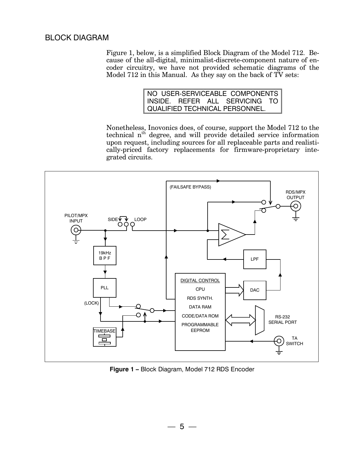#### BLOCK DIAGRAM

Figure 1, below, is a simplified Block Diagram of the Model 712. Because of the all-digital, minimalist-discrete-component nature of encoder circuitry, we have not provided schematic diagrams of the Model 712 in this Manual. As they say on the back of TV sets:

|  | NO USER-SERVICEABLE COMPONENTS |  |
|--|--------------------------------|--|
|  | INSIDE. REFER ALL SERVICING TO |  |
|  | QUALIFIED TECHNICAL PERSONNEL. |  |

Nonetheless, Inovonics does, of course, support the Model 712 to the technical n<sup>th</sup> degree, and will provide detailed service information upon request, including sources for all replaceable parts and realistically-priced factory replacements for firmware-proprietary integrated circuits.



**Figure 1 - Block Diagram, Model 712 RDS Encoder**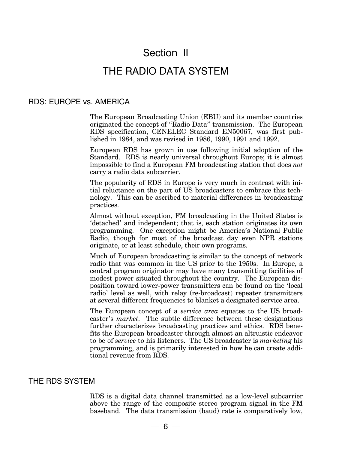## Section II

### THE RADIO DATA SYSTEM

#### RDS: EUROPE vs. AMERICA

The European Broadcasting Union (EBU) and its member countries originated the concept of "Radio Data" transmission. The European RDS specification, CENELEC Standard EN50067, was first published in 1984, and was revised in 1986, 1990, 1991 and 1992.

European RDS has grown in use following initial adoption of the Standard. RDS is nearly universal throughout Europe; it is almost impossible to find a European FM broadcasting station that does *not* carry a radio data subcarrier.

The popularity of RDS in Europe is very much in contrast with initial reluctance on the part of US broadcasters to embrace this technology. This can be ascribed to material differences in broadcasting practices.

Almost without exception, FM broadcasting in the United States is 'detached' and independent; that is, each station originates its own programming. One exception might be America's National Public Radio, though for most of the broadcast day even NPR stations originate, or at least schedule, their own programs.

Much of European broadcasting is similar to the concept of network radio that was common in the US prior to the 1950s. In Europe, a central program originator may have many transmitting facilities of modest power situated throughout the country. The European disposition toward lower-power transmitters can be found on the 'local radio' level as well, with relay (re-broadcast) repeater transmitters at several different frequencies to blanket a designated service area.

The European concept of a *service area* equates to the US broadcaster's *market*. The subtle difference between these designations further characterizes broadcasting practices and ethics. RDS benefits the European broadcaster through almost an altruistic endeavor to be of *service* to his listeners. The US broadcaster is *marketing* his programming, and is primarily interested in how he can create additional revenue from RDS.

#### THE RDS SYSTEM

RDS is a digital data channel transmitted as a low-level subcarrier above the range of the composite stereo program signal in the FM baseband. The data transmission (baud) rate is comparatively low,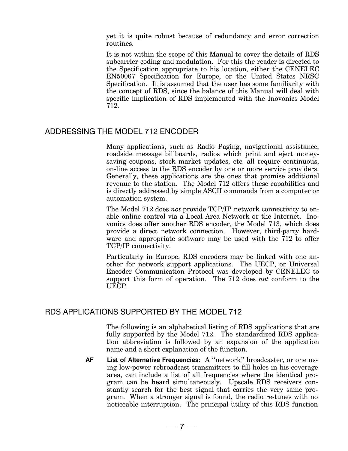yet it is quite robust because of redundancy and error correction routines.

It is not within the scope of this Manual to cover the details of RDS subcarrier coding and modulation. For this the reader is directed to the Specification appropriate to his location, either the CENELEC EN50067 Specification for Europe, or the United States NRSC Specification. It is assumed that the user has some familiarity with the concept of RDS, since the balance of this Manual will deal with specific implication of RDS implemented with the Inovonics Model 712.

#### ADDRESSING THE MODEL 712 ENCODER

Many applications, such as Radio Paging, navigational assistance, roadside message billboards, radios which print and eject moneysaving coupons, stock market updates, etc. all require continuous, on-line access to the RDS encoder by one or more service providers. Generally, these applications are the ones that promise additional revenue to the station. The Model 712 offers these capabilities and is directly addressed by simple ASCII commands from a computer or automation system.

The Model 712 does *not* provide TCP/IP network connectivity to enable online control via a Local Area Network or the Internet. Inovonics does offer another RDS encoder, the Model 713, which does provide a direct network connection. However, third-party hardware and appropriate software may be used with the 712 to offer TCP/IP connectivity.

Particularly in Europe, RDS encoders may be linked with one another for network support applications. The UECP, or Universal Encoder Communication Protocol was developed by CENELEC to support this form of operation. The 712 does *not* conform to the UECP.

#### RDS APPLICATIONS SUPPORTED BY THE MODEL 712

The following is an alphabetical listing of RDS applications that are fully supported by the Model 712. The standardized RDS application abbreviation is followed by an expansion of the application name and a short explanation of the function.

AF List of Alternative Frequencies: A "network" broadcaster, or one using low-power rebroadcast transmitters to fill holes in his coverage area, can include a list of all frequencies where the identical program can be heard simultaneously. Upscale RDS receivers constantly search for the best signal that carries the very same program. When a stronger signal is found, the radio re-tunes with no noticeable interruption. The principal utility of this RDS function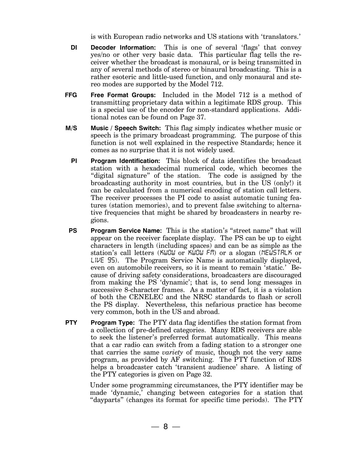is with European radio networks and US stations with 'translators.'

- **DI Decoder Information:** This is one of several 'flags' that convey yes/no or other very basic data. This particular flag tells the receiver whether the broadcast is monaural, or is being transmitted in any of several methods of stereo or binaural broadcasting. This is a rather esoteric and little-used function, and only monaural and stereo modes are supported by the Model 712.
- **FFG Free Format Groups:** Included in the Model 712 is a method of transmitting proprietary data within a legitimate RDS group. This is a special use of the encoder for non-standard applications. Additional notes can be found on Page 37.
- **M/S Music / Speech Switch:** This flag simply indicates whether music or speech is the primary broadcast programming. The purpose of this function is not well explained in the respective Standards; hence it comes as no surprise that it is not widely used.
	- **PI Program Identification:** This block of data identifies the broadcast station with a hexadecimal numerical code, which becomes the "digital signature" of the station. The code is assigned by the broadcasting authority in most countries, but in the US (only!) it can be calculated from a numerical encoding of station call letters. The receiver processes the PI code to assist automatic tuning features (station memories), and to prevent false switching to alternative frequencies that might be shared by broadcasters in nearby regions.
- **PS** Program Service Name: This is the station's "street name" that will appear on the receiver faceplate display. The PS can be up to eight characters in length (including spaces) and can be as simple as the stations call letters (*KWOW* or *KWOW FM*) or a slogan (*NEWSTALK* or *LIVE 95*). The Program Service Name is automatically displayed, even on automobile receivers, so it is meant to remain 'static.' Because of driving safety considerations, broadcasters are discouraged from making the PS 'dynamic'; that is, to send long messages in successive 8-character frames. As a matter of fact, it is a violation of both the CENELEC and the NRSC standards to flash or scroll the PS display. Nevertheless, this nefarious practice has become very common, both in the US and abroad.
- **PTY Program Type:** The PTY data flag identifies the station format from a collection of pre-defined categories. Many RDS receivers are able to seek the listener's preferred format automatically. This means that a car radio can switch from a fading station to a stronger one that carries the same *variety* of music, though not the very same program, as provided by AF switching. The PTY function of RDS helps a broadcaster catch 'transient audience' share. A listing of the PTY categories is given on Page 32.

Under some programming circumstances, the PTY identifier may be made 'dynamic,' changing between categories for a station that "dayparts" (changes its format for specific time periods). The PTY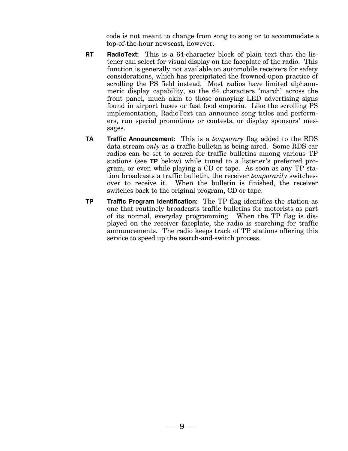code is not meant to change from song to song or to accommodate a top-of-the-hour newscast, however.

- **RT RadioText:** This is a 64-character block of plain text that the listener can select for visual display on the faceplate of the radio. This function is generally not available on automobile receivers for safety considerations, which has precipitated the frowned-upon practice of scrolling the PS field instead. Most radios have limited alphanumeric display capability, so the 64 characters 'march' across the front panel, much akin to those annoying LED advertising signs found in airport buses or fast food emporia. Like the scrolling PS implementation, RadioText can announce song titles and performers, run special promotions or contests, or display sponsors' messages.
- **TA Traffic Announcement:** This is a *temporary* flag added to the RDS data stream *only* as a traffic bulletin is being aired. Some RDS car radios can be set to search for traffic bulletins among various TP stations (see **TP** below) while tuned to a listener's preferred program, or even while playing a CD or tape. As soon as any TP station broadcasts a traffic bulletin, the receiver *temporarily* switchesover to receive it. When the bulletin is finished, the receiver switches back to the original program, CD or tape.
- **TP Traffic Program Identification:** The TP flag identifies the station as one that routinely broadcasts traffic bulletins for motorists as part of its normal, everyday programming. When the TP flag is displayed on the receiver faceplate, the radio is searching for traffic announcements. The radio keeps track of TP stations offering this service to speed up the search-and-switch process.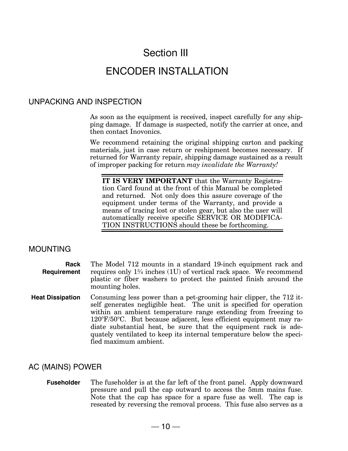## Section III

## ENCODER INSTALLATION

#### UNPACKING AND INSPECTION

As soon as the equipment is received, inspect carefully for any shipping damage. If damage is suspected, notify the carrier at once, and then contact Inovonics.

We recommend retaining the original shipping carton and packing materials, just in case return or reshipment becomes necessary. If returned for Warranty repair, shipping damage sustained as a result of improper packing for return *may invalidate the Warranty!*

**IT IS VERY IMPORTANT** that the Warranty Registration Card found at the front of this Manual be completed and returned. Not only does this assure coverage of the equipment under terms of the Warranty, and provide a means of tracing lost or stolen gear, but also the user will automatically receive specific SERVICE OR MODIFICA-TION INSTRUCTIONS should these be forthcoming.

#### MOUNTING

| Rack        | The Model 712 mounts in a standard 19-inch equipment rack and                 |
|-------------|-------------------------------------------------------------------------------|
| Requirement | requires only $1\frac{3}{4}$ inches (1U) of vertical rack space. We recommend |
|             | plastic or fiber washers to protect the painted finish around the             |
|             | mounting holes.                                                               |

**Heat Dissipation** Consuming less power than a pet-grooming hair clipper, the 712 itself generates negligible heat. The unit is specified for operation within an ambient temperature range extending from freezing to 120°F/50°C. But because adjacent, less efficient equipment may radiate substantial heat, be sure that the equipment rack is adequately ventilated to keep its internal temperature below the specified maximum ambient.

#### AC (MAINS) POWER

**Fuseholder** The fuseholder is at the far left of the front panel. Apply downward pressure and pull the cap outward to access the 5mm mains fuse. Note that the cap has space for a spare fuse as well. The cap is reseated by reversing the removal process. This fuse also serves as a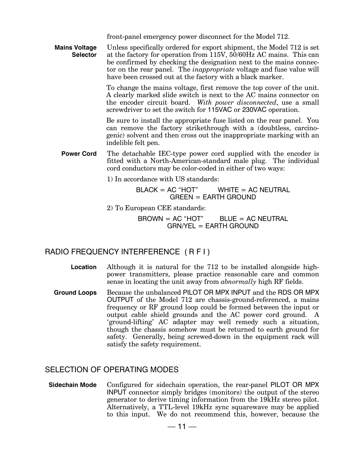front-panel emergency power disconnect for the Model 712.

**Mains Voltage Selector** Unless specifically ordered for export shipment, the Model 712 is set at the factory for operation from 115V, 50/60Hz AC mains. This can be confirmed by checking the designation next to the mains connector on the rear panel. The *inappropriate* voltage and fuse value will have been crossed out at the factory with a black marker.

> To change the mains voltage, first remove the top cover of the unit. A clearly marked slide switch is next to the AC mains connector on the encoder circuit board. *With power disconnected*, use a small screwdriver to set the switch for 115VAC or 230VAC operation.

> Be sure to install the appropriate fuse listed on the rear panel. You can remove the factory strikethrough with a (doubtless, carcinogenic) solvent and then cross out the inappropriate marking with an indelible felt pen.

**Power Cord** The detachable IEC-type power cord supplied with the encoder is fitted with a North-American-standard male plug. The individual cord conductors may be color-coded in either of two ways:

1) In accordance with US standards:

 $BLACK = AC "HOT"$  WHITE = AC NEUTRAL GREEN = EARTH GROUND

2) To European CEE standards:

 $BROWN = AC "HOT"$  BLUE = AC NEUTRAL GRN/YEL = EARTH GROUND

#### RADIO FREQUENCY INTERFERENCE ( R F I )

- **Location** Although it is natural for the 712 to be installed alongside highpower transmitters, please practice reasonable care and common sense in locating the unit away from *abnormally* high RF fields.
- **Ground Loops** Because the unbalanced PILOT OR MPX INPUT and the RDS OR MPX OUTPUT of the Model 712 are chassis-ground-referenced, a mains frequency or RF ground loop could be formed between the input or output cable shield grounds and the AC power cord ground. A 'ground-lifting' AC adapter may well remedy such a situation, though the chassis somehow must be returned to earth ground for safety. Generally, being screwed-down in the equipment rack will satisfy the safety requirement.

#### SELECTION OF OPERATING MODES

**Sidechain Mode** Configured for sidechain operation, the rear-panel PILOT OR MPX INPUT connector simply bridges (monitors) the output of the stereo generator to derive timing information from the 19kHz stereo pilot. Alternatively, a TTL-level 19kHz sync squarewave may be applied to this input. We do not recommend this, however, because the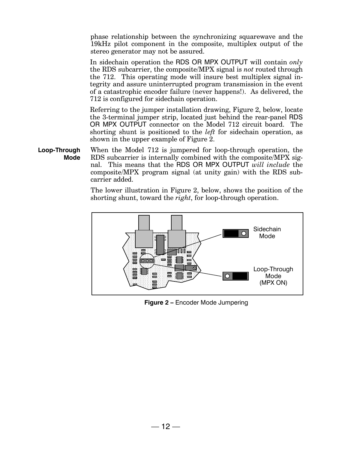phase relationship between the synchronizing squarewave and the 19kHz pilot component in the composite, multiplex output of the stereo generator may not be assured.

In sidechain operation the RDS OR MPX OUTPUT will contain *only* the RDS subcarrier, the composite/MPX signal is *not* routed through the 712. This operating mode will insure best multiplex signal integrity and assure uninterrupted program transmission in the event of a catastrophic encoder failure (never happens!). As delivered, the 712 is configured for sidechain operation.

Referring to the jumper installation drawing, Figure 2, below, locate the 3-terminal jumper strip, located just behind the rear-panel RDS OR MPX OUTPUT connector on the Model 712 circuit board. The shorting shunt is positioned to the *left* for sidechain operation, as shown in the upper example of Figure 2.

**Loop-Through Mode** When the Model 712 is jumpered for loop-through operation, the RDS subcarrier is internally combined with the composite/MPX signal. This means that the RDS OR MPX OUTPUT *will include* the composite/MPX program signal (at unity gain) with the RDS subcarrier added.

> The lower illustration in Figure 2, below, shows the position of the shorting shunt, toward the *right*, for loop-through operation.



**Figure 2 - Encoder Mode Jumpering**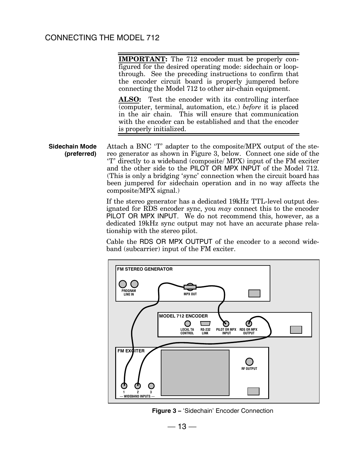#### CONNECTING THE MODEL 712

**IMPORTANT:** The 712 encoder must be properly configured for the desired operating mode: sidechain or loopthrough. See the preceding instructions to confirm that the encoder circuit board is properly jumpered before connecting the Model 712 to other air-chain equipment.

**ALSO:** Test the encoder with its controlling interface (computer, terminal, automation, etc.) *before* it is placed in the air chain. This will ensure that communication with the encoder can be established and that the encoder is properly initialized.

 **Sidechain Mode (preferred)** Attach a BNC 'T' adapter to the composite/MPX output of the stereo generator as shown in Figure 3, below. Connect one side of the 'T' directly to a wideband (composite/ MPX) input of the FM exciter and the other side to the PILOT OR MPX INPUT of the Model 712. (This is only a bridging 'sync' connection when the circuit board has been jumpered for sidechain operation and in no way affects the composite/MPX signal.)

> If the stereo generator has a dedicated 19kHz TTL-level output designated for RDS encoder sync, you *may* connect this to the encoder PILOT OR MPX INPUT. We do not recommend this, however, as a dedicated 19kHz sync output may not have an accurate phase relationship with the stereo pilot.

> Cable the RDS OR MPX OUTPUT of the encoder to a second wideband (subcarrier) input of the FM exciter.



**Figure 3** – 'Sidechain' Encoder Connection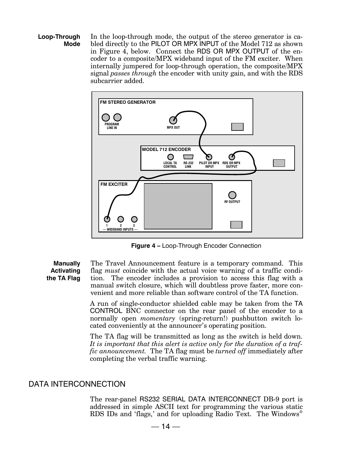**Loop-Through Mode** In the loop-through mode, the output of the stereo generator is cabled directly to the PILOT OR MPX INPUT of the Model 712 as shown in Figure 4, below. Connect the RDS OR MPX OUTPUT of the encoder to a composite/MPX wideband input of the FM exciter. When internally jumpered for loop-through operation, the composite/MPX signal *passes through* the encoder with unity gain, and with the RDS subcarrier added.



**Figure 4 - Loop-Through Encoder Connection** 

**Manually Activating the TA Flag** The Travel Announcement feature is a temporary command. This flag *must* coincide with the actual voice warning of a traffic condition. The encoder includes a provision to access this flag with a manual switch closure, which will doubtless prove faster, more convenient and more reliable than software control of the TA function.

> A run of single-conductor shielded cable may be taken from the TA CONTROL BNC connector on the rear panel of the encoder to a normally open *momentary* (spring-return!) pushbutton switch located conveniently at the announcer's operating position.

> The TA flag will be transmitted as long as the switch is held down. *It is important that this alert is active only for the duration of a traffic announcement.* The TA flag must be *turned off* immediately after completing the verbal traffic warning.

#### DATA INTERCONNECTION

The rear-panel RS232 SERIAL DATA INTERCONNECT DB-9 port is addressed in simple ASCII text for programming the various static RDS IDs and 'flags,' and for uploading Radio Text. The Windows<sup>®</sup>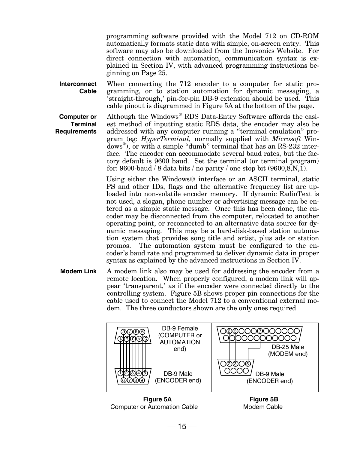programming software provided with the Model 712 on CD-ROM automatically formats static data with simple, on-screen entry. This software may also be downloaded from the Inovonics Website. For direct connection with automation, communication syntax is explained in Section IV, with advanced programming instructions beginning on Page 25.

**Interconnect Cable** When connecting the 712 encoder to a computer for static programming, or to station automation for dynamic messaging, a 'straight-through,' pin-for-pin DB-9 extension should be used. This cable pinout is diagrammed in Figure 5A at the bottom of the page.

**Computer or Terminal Requirements**

Although the Windows® RDS Data-Entry Software affords the easiest method of inputting static RDS data, the encoder may also be addressed with any computer running a "terminal emulation" program (eg: *HyperTerminal,* normally supplied with *Microsoft* Win- $\text{dows}^{\circledast}$ ), or with a simple "dumb" terminal that has an RS-232 interface. The encoder can accommodate several baud rates, but the factory default is 9600 baud. Set the terminal (or terminal program) for: 9600-baud / 8 data bits / no parity / one stop bit  $(9600, 8, N, 1)$ .

Using either the Windows® interface or an ASCII terminal, static PS and other IDs, flags and the alternative frequency list are uploaded into non-volatile encoder memory. If dynamic RadioText is not used, a slogan, phone number or advertising message can be entered as a simple static message. Once this has been done, the encoder may be disconnected from the computer, relocated to another operating point, or reconnected to an alternative data source for dynamic messaging. This may be a hard-disk-based station automation system that provides song title and artist, plus ads or station promos. The automation system must be configured to the encoder's baud rate and programmed to deliver dynamic data in proper syntax as explained by the advanced instructions in Section IV.

**Modem Link** A modem link also may be used for addressing the encoder from a remote location. When properly configured, a modem link will appear 'transparent,' as if the encoder were connected directly to the controlling system. Figure 5B shows proper pin connections for the cable used to connect the Model 712 to a conventional external modem. The three conductors shown are the only ones required.



**Figure 5A Figure 5B** Computer or Automation Cable Modem Cable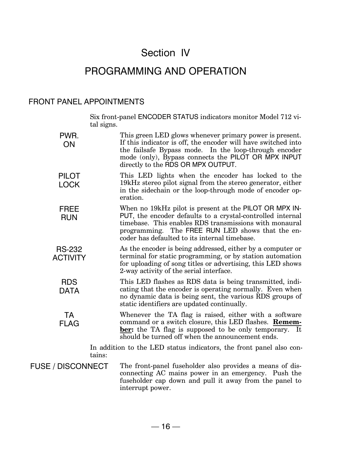## Section IV

## PROGRAMMING AND OPERATION

#### FRONT PANEL APPOINTMENTS

Six front-panel ENCODER STATUS indicators monitor Model 712 vital signs.

| PWR.<br>ON                       | This green LED glows whenever primary power is present.<br>If this indicator is off, the encoder will have switched into<br>the failsafe Bypass mode. In the loop-through encoder<br>mode (only), Bypass connects the PILOT OR MPX INPUT<br>directly to the RDS OR MPX OUTPUT.      |
|----------------------------------|-------------------------------------------------------------------------------------------------------------------------------------------------------------------------------------------------------------------------------------------------------------------------------------|
| <b>PILOT</b><br><b>LOCK</b>      | This LED lights when the encoder has locked to the<br>19kHz stereo pilot signal from the stereo generator, either<br>in the sidechain or the loop-through mode of encoder op-<br>eration.                                                                                           |
| <b>FREE</b><br><b>RUN</b>        | When no 19kHz pilot is present at the PILOT OR MPX IN-<br>PUT, the encoder defaults to a crystal-controlled internal<br>timebase. This enables RDS transmissions with monaural<br>programming. The FREE RUN LED shows that the en-<br>coder has defaulted to its internal timebase. |
| <b>RS-232</b><br><b>ACTIVITY</b> | As the encoder is being addressed, either by a computer or<br>terminal for static programming, or by station automation<br>for uploading of song titles or advertising, this LED shows<br>2-way activity of the serial interface.                                                   |
| <b>RDS</b><br><b>DATA</b>        | This LED flashes as RDS data is being transmitted, indi-<br>cating that the encoder is operating normally. Even when<br>no dynamic data is being sent, the various RDS groups of<br>static identifiers are updated continually.                                                     |
| <b>TA</b><br><b>FLAG</b>         | Whenever the TA flag is raised, either with a software<br>command or a switch closure, this LED flashes. Remem-<br>ber: the TA flag is supposed to be only temporary.<br>It<br>should be turned off when the announcement ends.                                                     |
| tains:                           | In addition to the LED status indicators, the front panel also con-                                                                                                                                                                                                                 |
| <b>FUSE / DISCONNECT</b>         | The front-panel fuseholder also provides a means of dis-<br>connecting AC mains power in an emergency. Push the<br>fuseholder cap down and pull it away from the panel to<br>interrupt power.                                                                                       |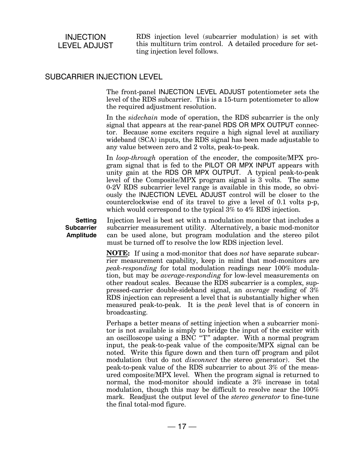#### INJECTION LEVEL ADJUST

RDS injection level (subcarrier modulation) is set with this multiturn trim control. A detailed procedure for setting injection level follows.

#### SUBCARRIER INJECTION LEVEL

The front-panel INJECTION LEVEL ADJUST potentiometer sets the level of the RDS subcarrier. This is a 15-turn potentiometer to allow the required adjustment resolution.

In the *sidechain* mode of operation, the RDS subcarrier is the only signal that appears at the rear-panel RDS OR MPX OUTPUT connector. Because some exciters require a high signal level at auxiliary wideband (SCA) inputs, the RDS signal has been made adjustable to any value between zero and 2 volts, peak-to-peak.

In *loop-through* operation of the encoder, the composite/MPX program signal that is fed to the PILOT OR MPX INPUT appears with unity gain at the RDS OR MPX OUTPUT. A typical peak-to-peak level of the Composite/MPX program signal is 3 volts. The same 0-2V RDS subcarrier level range is available in this mode, so obviously the INJECTION LEVEL ADJUST control will be closer to the counterclockwise end of its travel to give a level of 0.1 volts p-p, which would correspond to the typical 3% to 4% RDS injection.

**Setting Subcarrier Amplitude** Injection level is best set with a modulation monitor that includes a subcarrier measurement utility. Alternatively, a basic mod-monitor can be used alone, but program modulation and the stereo pilot must be turned off to resolve the low RDS injection level.

**NOTE:** If using a mod-monitor that does *not* have separate subcarrier measurement capability, keep in mind that mod-monitors are *peak-responding* for total modulation readings near 100% modulation, but may be *average-responding* for low-level measurements on other readout scales. Because the RDS subcarrier is a complex, suppressed-carrier double-sideband signal, an *average* reading of 3% RDS injection can represent a level that is substantially higher when measured peak-to-peak. It is the *peak* level that is of concern in broadcasting.

Perhaps a better means of setting injection when a subcarrier monitor is not available is simply to bridge the input of the exciter with an oscilloscope using a  $\overline{BNC}$  "T" adapter. With a normal program input, the peak-to-peak value of the composite/MPX signal can be noted. Write this figure down and then turn off program and pilot modulation (but do not *disconnect* the stereo generator). Set the peak-to-peak value of the RDS subcarrier to about 3% of the measured composite/MPX level. When the program signal is returned to normal, the mod-monitor should indicate a 3% increase in total modulation, though this may be difficult to resolve near the 100% mark. Readjust the output level of the *stereo generator* to fine-tune the final total-mod figure.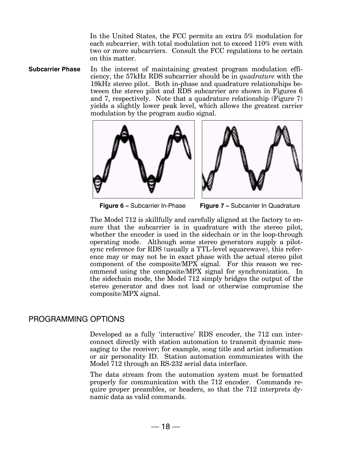In the United States, the FCC permits an extra 5% modulation for each subcarrier, with total modulation not to exceed 110% even with two or more subcarriers. Consult the FCC regulations to be certain on this matter.

**Subcarrier Phase** In the interest of maintaining greatest program modulation efficiency, the 57kHz RDS subcarrier should be in *quadrature* with the 19kHz stereo pilot. Both in-phase and quadrature relationships between the stereo pilot and RDS subcarrier are shown in Figures 6 and 7, respectively. Note that a quadrature relationship (Figure 7) yields a slightly lower peak level, which allows the greatest carrier modulation by the program audio signal.





**Figure 6 –** Subcarrier In-Phase **Figure 7 –** Subcarrier In Quadrature

The Model 712 is skillfully and carefully aligned at the factory to ensure that the subcarrier is in quadrature with the stereo pilot, whether the encoder is used in the sidechain or in the loop-through operating mode. Although some stereo generators supply a pilotsync reference for RDS (usually a TTL-level squarewave), this reference may or may not be in exact phase with the actual stereo pilot component of the composite/MPX signal. For this reason we recommend using the composite/MPX signal for synchronization. In the sidechain mode, the Model 712 simply bridges the output of the stereo generator and does not load or otherwise compromise the composite/MPX signal.

#### PROGRAMMING OPTIONS

Developed as a fully 'interactive' RDS encoder, the 712 can interconnect directly with station automation to transmit dynamic messaging to the receiver; for example, song title and artist information or air personality ID. Station automation communicates with the Model 712 through an RS-232 serial data interface.

The data stream from the automation system must be formatted properly for communication with the 712 encoder. Commands require proper preambles, or headers, so that the 712 interprets dynamic data as valid commands.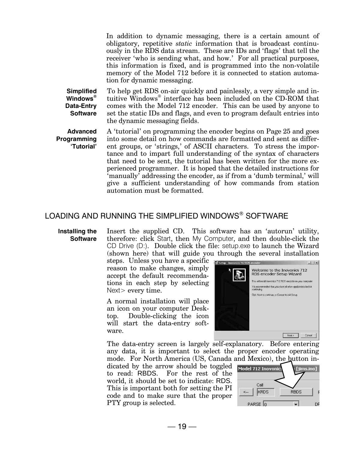In addition to dynamic messaging, there is a certain amount of obligatory, repetitive *static* information that is broadcast continuously in the RDS data stream. These are IDs and 'flags' that tell the receiver 'who is sending what, and how.' For all practical purposes, this information is fixed, and is programmed into the non-volatile memory of the Model 712 before it is connected to station automation for dynamic messaging.

**Simplified Windows® Data-Entry Software**

To help get RDS on-air quickly and painlessly, a very simple and intuitive Windows® interface has been included on the CD-ROM that comes with the Model 712 encoder. This can be used by anyone to set the static IDs and flags, and even to program default entries into the dynamic messaging fields.

**Advanced Programming JTutorial** A 'tutorial' on programming the encoder begins on Page 25 and goes into some detail on how commands are formatted and sent as different groups, or 'strings,' of ASCII characters. To stress the importance and to impart full understanding of the syntax of characters that need to be sent, the tutorial has been written for the more experienced programmer. It is hoped that the detailed instructions for 'manually' addressing the encoder, as if from a 'dumb terminal,' will give a sufficient understanding of how commands from station automation must be formatted.

#### LOADING AND RUNNING THE SIMPLIFIED WINDOWS® SOFTWARE

#### **Installing the Software**

Insert the supplied CD. This software has an 'autorun' utility, therefore: click Start, then My Computer, and then double-click the CD Drive (D:). Double click the file: setup.exe to launch the Wizard (shown here) that will guide you through the several installation

steps. Unless you have a specific reason to make changes, simply accept the default recommendations in each step by selecting Next > every time.

A normal installation will place an icon on your computer Desktop. Double-clicking the icon will start the data-entry software.



The data-entry screen is largely self-explanatory. Before entering any data, it is important to select the proper encoder operating

mode. For North America (US, Canada and Mexico), the button indicated by the arrow should be toggled to read: RBDS. For the rest of the world, it should be set to indicate: RDS. This is important both for setting the PI code and to make sure that the proper PTY group is selected.

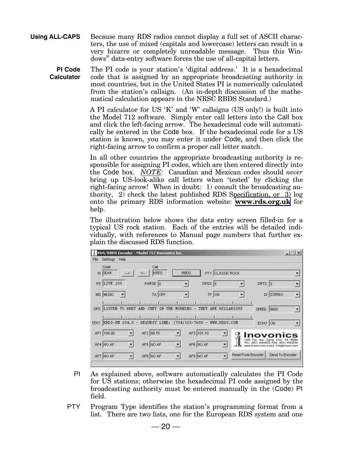**Using ALL-CAPS** Because many RDS radios cannot display a full set of ASCII characters, the use of mixed (capitals and lowercase) letters can result in a very bizarre or completely unreadable message. Thus this Windows® data-entry software forces the use of all-capital letters.

**PI Code Calculator** The PI code is your station's 'digital address.' It is a hexadecimal code that is assigned by an appropriate broadcasting authority in most countries, but in the United States PI is numerically calculated from the station's callsign. (An in-depth discussion of the mathematical calculation appears in the NRSC RBDS Standard.)

> A PI calculator for US 'K' and 'W' callsigns (US only!) is built into the Model 712 software. Simply enter call letters into the Call box and click the left-facing arrow. The hexadecimal code will automatically be entered in the Code box. If the hexadecimal code for a US station is known, you may enter it under Code, and then click the right-facing arrow to confirm a proper call letter match.

> In all other countries the appropriate broadcasting authority is responsible for assigning PI codes, which are then entered directly into the Code box. *NOTE:* Canadian and Mexican codes should *never* bring up US-look-alike call letters when 'tested' by clicking the right-facing arrow! When in doubt: 1) consult the broadcasting authority, 2) check the latest published RDS Specification, or 3) log onto the primary RDS information website: **[www.rds.org.uk](http://www.rds.org.uk)** for help.

> The illustration below shows the data entry screen filled-in for a typical US rock station. Each of the entries will be detailed individually, with references to Manual page numbers that further explain the discussed RDS function.

| Code                               | Call                                                                                                                                                                                 |                      |                                        |                   |                                                                               |  |
|------------------------------------|--------------------------------------------------------------------------------------------------------------------------------------------------------------------------------------|----------------------|----------------------------------------|-------------------|-------------------------------------------------------------------------------|--|
| PI 3D44<br>$-5$                    | <b>KRDS</b>                                                                                                                                                                          | <b>RBDS</b>          | PTY CLASSIC ROCK                       |                   |                                                                               |  |
| <b>PS LIVE 105</b>                 | PARSE 0                                                                                                                                                                              | $\blacktriangledown$ | $DPSS$ 5                               |                   | DRTS <sub>3</sub>                                                             |  |
| MS MUSIC<br>$\overline{ }$         | TA OFF                                                                                                                                                                               |                      | TP ON                                  |                   | DI STEREO                                                                     |  |
|                                    | <u>banadanadanadanadanadanadanadanad</u><br>DPS LISTEN TO BRET AND CHET IN THE MORNING - THEY ARE HILLARIOUS<br>transaction and concerte orientation to a continuous transaction and |                      |                                        |                   | SPEED 9600                                                                    |  |
| <b>TEXT</b>                        | KRDS-FM 104.9 - REQUEST LINE: (704) 555-7680 - WWW.KRDS.COM                                                                                                                          |                      |                                        |                   | ECHO ON                                                                       |  |
| AF1 104.90<br>$\blacktriangledown$ | AF2 99.70                                                                                                                                                                            |                      | AF3 101.10<br>$\overline{\phantom{a}}$ |                   | וסעסו                                                                         |  |
| $\blacktriangledown$<br>AF4 NO AF  | AF5 NO AF                                                                                                                                                                            |                      | AF6 NO AF                              |                   | TEL: (831) 458-0552 FAX: (831) 458-0554<br>inovon.com e-mail: info@inovon.com |  |
|                                    | AF8 NO AF<br>$\overline{\phantom{a}}$                                                                                                                                                |                      | AF9 NO AF                              | Read From Encoder | Send To Encoder                                                               |  |

- PI As explained above, software automatically calculates the PI Code for US stations; otherwise the hexadecimal PI code assigned by the broadcasting authority must be entered manually in the (Code) PI field.
- PTY Program Type identifies the station's programming format from a list. There are two lists, one for the European RDS system and one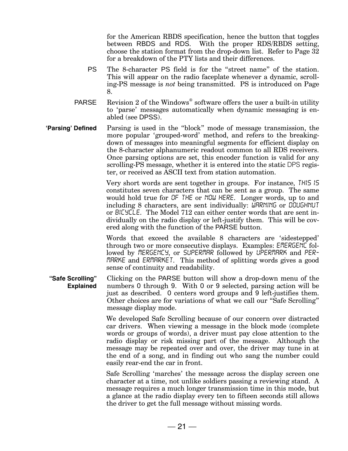for the American RBDS specification, hence the button that toggles between RBDS and RDS. With the proper RDS/RBDS setting, choose the station format from the drop-down list. Refer to Page 32 for a breakdown of the PTY lists and their differences.

- PS The 8-character PS field is for the "street name" of the station. This will appear on the radio faceplate whenever a dynamic, scrolling-PS message is *not* being transmitted. PS is introduced on Page 8.
- PARSE Revision 2 of the Windows<sup>®</sup> software offers the user a built-in utility to 'parse' messages automatically when dynamic messaging is enabled (see DPSS).
- **Parsing** Defined Parsing is used in the "block" mode of message transmission, the more popular 'grouped-word' method, and refers to the breakingdown of messages into meaningful segments for efficient display on the 8-character alphanumeric readout common to all RDS receivers. Once parsing options are set, this encoder function is valid for any scrolling-PS message, whether it is entered into the static DPS register, or received as ASCII text from station automation.

Very short words are sent together in groups. For instance, *THIS IS* constitutes seven characters that can be sent as a group. The same would hold true for *OF THE* or *NOW HERE*. Longer words, up to and including 8 characters, are sent individually: *WARNING* or *DOUGHNUT* or *BICYCLE*. The Model 712 can either center words that are sent individually on the radio display or left-justify them. This will be covered along with the function of the PARSE button.

Words that exceed the available 8 characters are 'sidestepped' through two or more consecutive displays. Examples: *EMERGENC* followed by *MERGENCY*, or *SUPERMAR* followed by *UPERMARK* and *PER-MARKE* and *ERMARKET*. This method of splitting words gives a good sense of continuity and readability.

"Safe Scrolling" **Explained** Clicking on the PARSE button will show a drop-down menu of the numbers 0 through 9. With 0 or 9 selected, parsing action will be just as described. 0 centers word groups and 9 left-justifies them. Other choices are for variations of what we call our "Safe Scrolling" message display mode.

> We developed Safe Scrolling because of our concern over distracted car drivers. When viewing a message in the block mode (complete words or groups of words), a driver must pay close attention to the radio display or risk missing part of the message. Although the message may be repeated over and over, the driver may tune in at the end of a song, and in finding out who sang the number could easily rear-end the car in front.

> Safe Scrolling 'marches' the message across the display screen one character at a time, not unlike soldiers passing a reviewing stand. A message requires a much longer transmission time in this mode, but a glance at the radio display every ten to fifteen seconds still allows the driver to get the full message without missing words.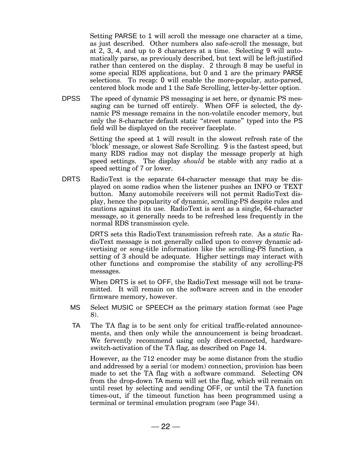Setting PARSE to 1 will scroll the message one character at a time, as just described. Other numbers also safe-scroll the message, but at 2, 3, 4, and up to 8 characters at a time. Selecting 9 will automatically parse, as previously described, but text will be left-justified rather than centered on the display. 2 through 8 may be useful in some special RDS applications, but 0 and 1 are the primary PARSE selections. To recap: 0 will enable the more-popular, auto-parsed, centered block mode and 1 the Safe Scrolling, letter-by-letter option.

DPSS The speed of dynamic PS messaging is set here, or dynamic PS messaging can be turned off entirely. When OFF is selected, the dynamic PS message remains in the non-volatile encoder memory, but only the 8-character default static "street name" typed into the PS field will be displayed on the receiver faceplate.

> Setting the speed at 1 will result in the slowest refresh rate of the block' message, or slowest Safe Scrolling. 9 is the fastest speed, but many RDS radios may not display the message properly at high speed settings. The display *should* be stable with any radio at a speed setting of 7 or lower.

DRTS RadioText is the separate 64-character message that may be displayed on some radios when the listener pushes an INFO or TEXT button. Many automobile receivers will not permit RadioText display, hence the popularity of dynamic, scrolling-PS despite rules and cautions against its use. RadioText is sent as a single, 64-character message, so it generally needs to be refreshed less frequently in the normal RDS transmission cycle.

> DRTS sets this RadioText transmission refresh rate. As a *static* RadioText message is not generally called upon to convey dynamic advertising or song-title information like the scrolling-PS function, a setting of 3 should be adequate. Higher settings may interact with other functions and compromise the stability of any scrolling-PS messages.

> When DRTS is set to OFF, the RadioText message will not be transmitted. It will remain on the software screen and in the encoder firmware memory, however.

- MS Select MUSIC or SPEECH as the primary station format (see Page 8).
- TA The TA flag is to be sent only for critical traffic-related announcements, and then only while the announcement is being broadcast. We fervently recommend using only direct-connected, hardwareswitch-activation of the TA flag, as described on Page 14.

However, as the 712 encoder may be some distance from the studio and addressed by a serial (or modem) connection, provision has been made to set the TA flag with a software command. Selecting ON from the drop-down TA menu will set the flag, which will remain on until reset by selecting and sending OFF, or until the TA function times-out, if the timeout function has been programmed using a terminal or terminal emulation program (see Page 34).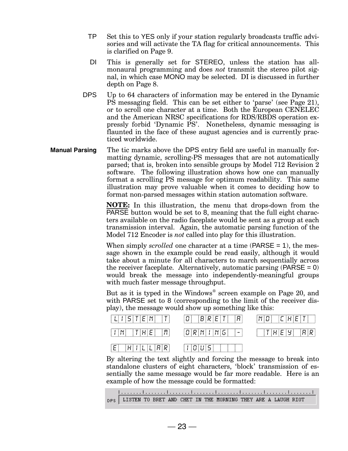- TP Set this to YES only if your station regularly broadcasts traffic advisories and will activate the TA flag for critical announcements. This is clarified on Page 9.
- DI This is generally set for STEREO, unless the station has allmonaural programming and does *not* transmit the stereo pilot signal, in which case MONO may be selected. DI is discussed in further depth on Page 8.
- DPS Up to 64 characters of information may be entered in the Dynamic PS messaging field. This can be set either to 'parse' (see Page 21), or to scroll one character at a time. Both the European CENELEC and the American NRSC specifications for RDS/RBDS operation expressly forbid 'Dynamic PS'. Nonetheless, dynamic messaging is flaunted in the face of these august agencies and is currently practiced worldwide.
- **Manual Parsing** The tic marks above the DPS entry field are useful in manually formatting dynamic, scrolling-PS messages that are not automatically parsed; that is, broken into sensible groups by Model 712 Revision 2 software. The following illustration shows how one can manually format a scrolling PS message for optimum readability. This same illustration may prove valuable when it comes to deciding how to format non-parsed messages within station automation software.

**NOTE:** In this illustration, the menu that drops-down from the PARSE button would be set to 8, meaning that the full eight characters available on the radio faceplate would be sent as a group at each transmission interval. Again, the automatic parsing function of the Model 712 Encoder is *not* called into play for this illustration.

When simply *scrolled* one character at a time (PARSE = 1), the message shown in the example could be read easily, although it would take about a minute for all characters to march sequentially across the receiver faceplate. Alternatively, automatic parsing  $(PARSE = 0)$ would break the message into independently-meaningful groups with much faster message throughput.

But as it is typed in the Windows® screen example on Page 20, and with PARSE set to 8 (corresponding to the limit of the receiver display), the message would show up something like this:

| $ L I S T E N   T $ 0 $ B R E T   R $                                           | $ N D $ $ C H E T $ |
|---------------------------------------------------------------------------------|---------------------|
| $ I N $ $ T H E $ $ R $ $ Q R N I N G $ $ - $ $ T H E H $ $ R R $               |                     |
| $ E $ $ H $ $l$ $ L $ $ L $ $R$ $ R $ $ I $ $ O $ $U $ $S $ $ $ $ $ $ $ $ $ $ $ |                     |

By altering the text slightly and forcing the message to break into standalone clusters of eight characters, 'block' transmission of essentially the same message would be far more readable. Here is an example of how the message could be formatted:

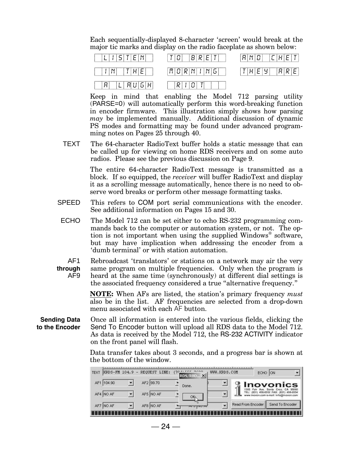Each sequentially-displayed 8-character 'screen' would break at the major tic marks and display on the radio faceplate as shown below:



Keep in mind that enabling the Model 712 parsing utility (PARSE=0) will automatically perform this word-breaking function in encoder firmware. This illustration simply shows how parsing *may* be implemented manually. Additional discussion of dynamic PS modes and formatting may be found under advanced programming notes on Pages 25 through 40.

TEXT The 64-character RadioText buffer holds a static message that can be called up for viewing on home RDS receivers and on some auto radios. Please see the previous discussion on Page 9.

> The entire 64-character RadioText message is transmitted as a block. If so equipped, the *receiver* will buffer RadioText and display it as a scrolling message automatically, hence there is no need to observe word breaks or perform other message formatting tasks.

- SPEED This refers to COM port serial communications with the encoder. See additional information on Pages 15 and 30.
- ECHO The Model 712 can be set either to echo RS-232 programming commands back to the computer or automation system, or not. The option is not important when using the supplied Windows<sup>®</sup> software, but may have implication when addressing the encoder from a 'dumb terminal' or with station automation.

AF1 **through** AF9 Rebroadcast 'translators' or stations on a network may air the very same program on multiple frequencies. Only when the program is heard at the same time (synchronously) at different dial settings is the associated frequency considered a true "alternative frequency."

> **NOTE:** When AFs are listed, the station's primary frequency *must* also be in the list. AF frequencies are selected from a drop-down menu associated with each AF button.

**Sending Data to the Encoder** Once all information is entered into the various fields, clicking the Send To Encoder button will upload all RDS data to the Model 712. As data is received by the Model 712, the RS-232 ACTIVITY indicator on the front panel will flash.

> Data transfer takes about 3 seconds, and a progress bar is shown at the bottom of the window.

| $KFDS-FM 104.9 -$<br><b>TEXT</b> | REQUEST LINE: | (70 <sup>4</sup> )<br>$\vert x \vert$<br>RDS/RBD | WWW.KRDS.COM | ECHO              | <b>ON</b>                                                              |
|----------------------------------|---------------|--------------------------------------------------|--------------|-------------------|------------------------------------------------------------------------|
| 104.90<br>AF1                    | AF2 99.70     | Done.                                            |              |                   | <b>Inovonics</b><br>95060                                              |
| AF4 NO AF                        | AF5 NO AF     | ОК                                               |              | TEL: (831)        | 458-0552 FAX: (831) 458-0554<br>www.inovon.com e-mail: info@inovon.com |
| AF7 NO AF                        | AF8 NO AF     | $M \cap M \cap M$                                |              | Read From Encoder | Send To Encoder                                                        |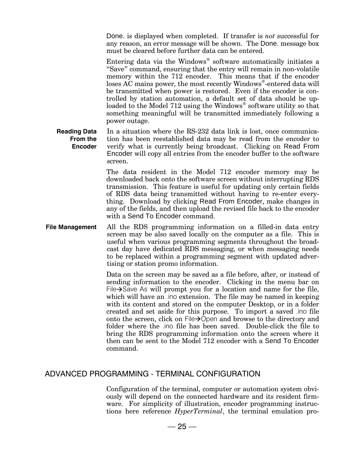Done. is displayed when completed. If transfer is *not* successful for any reason, an error message will be shown. The Done. message box must be cleared before further data can be entered.

Entering data via the Windows® software automatically initiates a "Save" command, ensuring that the entry will remain in non-volatile memory within the 712 encoder. This means that if the encoder loses AC mains power, the most recently Windows®-entered data will be transmitted when power is restored. Even if the encoder is controlled by station automation, a default set of data should be uploaded to the Model 712 using the Windows® software utility so that something meaningful will be transmitted immediately following a power outage.

**Reading Data From the Encoder** In a situation where the RS-232 data link is lost, once communication has been reestablished data may be read from the encoder to verify what is currently being broadcast. Clicking on Read From Encoder will copy all entries from the encoder buffer to the software screen.

> The data resident in the Model 712 encoder memory may be downloaded back onto the software screen without interrupting RDS transmission. This feature is useful for updating only certain fields of RDS data being transmitted without having to re-enter everything. Download by clicking Read From Encoder, make changes in any of the fields, and then upload the revised file back to the encoder with a Send To Encoder command.

**File Management** All the RDS programming information on a filled-in data entry screen may be also saved locally on the computer as a file. This is useful when various programming segments throughout the broadcast day have dedicated RDS messaging, or when messaging needs to be replaced within a programming segment with updated advertising or station promo information.

> Data on the screen may be saved as a file before, after, or instead of sending information to the encoder. Clicking in the menu bar on File $\rightarrow$ Save As will prompt you for a location and name for the file, which will have an .ino extension. The file may be named in keeping with its content and stored on the computer Desktop, or in a folder created and set aside for this purpose. To import a saved .ino file onto the screen, click on  $File \rightarrow$ Open and browse to the directory and folder where the .ino file has been saved. Double-click the file to bring the RDS programming information onto the screen where it then can be sent to the Model 712 encoder with a Send To Encoder command.

#### ADVANCED PROGRAMMING - TERMINAL CONFIGURATION

Configuration of the terminal, computer or automation system obviously will depend on the connected hardware and its resident firmware. For simplicity of illustration, encoder programming instructions here reference *HyperTerminal*, the terminal emulation pro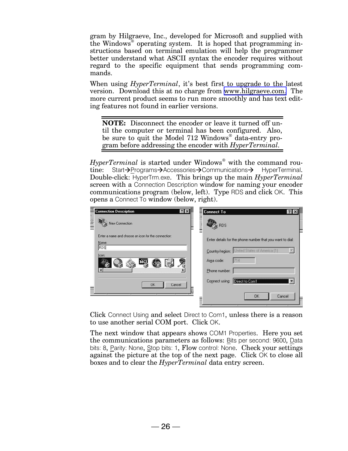gram by Hilgraeve, Inc., developed for Microsoft and supplied with the Windows® operating system. It is hoped that programming instructions based on terminal emulation will help the programmer better understand what ASCII syntax the encoder requires without regard to the specific equipment that sends programming commands.

When using *HyperTerminal*, it's best first to upgrade to the latest version. Download this at no charge from [www.hilgraeve.com.](http://www.hilgraeve.com.) The more current product seems to run more smoothly and has text editing features not found in earlier versions.

**NOTE:** Disconnect the encoder or leave it turned off until the computer or terminal has been configured. Also, be sure to quit the Model 712 Windows<sup>®</sup> data-entry program before addressing the encoder with *HyperTerminal.*

*HyperTerminal* is started under Windows® with the command routine: Start->Programs->Accessories->Communications-> HyperTerminal. Double-click: HyperTrm.exe. This brings up the main *HyperTerminal* screen with a Connection Description window for naming your encoder communications program (below, left). Type RDS and click OK. This opens a Connect To window (below, right).

| <b>Connection Description</b><br>$?$ $\times$<br>$\frac{2}{3}$<br>New Connection         | <b>Connect To</b><br>$?$   $\times$<br>RDS                                                                                                      |
|------------------------------------------------------------------------------------------|-------------------------------------------------------------------------------------------------------------------------------------------------|
| Enter a name and choose an icon for the connection:<br>Name:<br><b>RDS</b><br>Icon:<br>咳 | Enter details for the phone number that you want to dial:<br>Country/region: United States of America (1)<br>Area code:<br>714<br>Phone number: |
| <b>OK</b><br>Cancel                                                                      | Connect using:<br>Direct to Com1<br><b>DK</b><br>Cancel                                                                                         |

Click Connect Using and select Direct to Com1, unless there is a reason to use another serial COM port. Click OK.

The next window that appears shows COM1 Properties. Here you set the communications parameters as follows: Bits per second: 9600, Data bits: 8, Parity: None, Stop bits: 1, Flow control: None. Check your settings against the picture at the top of the next page. Click OK to close all boxes and to clear the *HyperTerminal* data entry screen.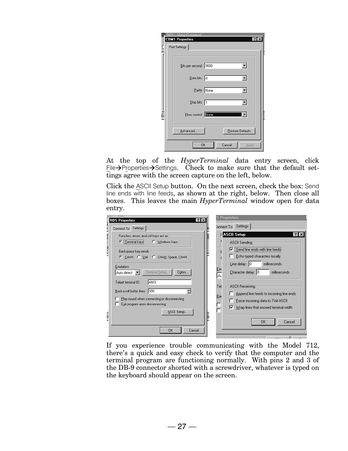| <b>COM1 Properties</b><br>Port Settings | $?$ $\times$                    |
|-----------------------------------------|---------------------------------|
| Bits per second: 9600                   |                                 |
| Data bits: 8                            |                                 |
|                                         | Parity: None<br>$\blacksquare$  |
| Stop bits: 1                            |                                 |
|                                         | Flow control: None Company<br>≖ |
| Advanced                                | <b>Restore Defaults</b>         |
|                                         | Cancel<br>OK<br><b>Apply</b>    |

At the top of the *HyperTerminal* data entry screen, click  $E$ ile $\rightarrow$ Properties $\rightarrow$ Settings. Check to make sure that the default settings agree with the screen capture on the left, below.

Click the ASCII Setup button. On the next screen, check the box: Send line ends with line feeds, as shown at the right, below. Then close all boxes. This leaves the main *HyperTerminal* window open for data entry.

| Connect To Settings                                                                                                                                                                                                                                                                                                                                                                                           | Connect To Settings                                                                                                                                                                                                                                                                                                                                                                                                             |
|---------------------------------------------------------------------------------------------------------------------------------------------------------------------------------------------------------------------------------------------------------------------------------------------------------------------------------------------------------------------------------------------------------------|---------------------------------------------------------------------------------------------------------------------------------------------------------------------------------------------------------------------------------------------------------------------------------------------------------------------------------------------------------------------------------------------------------------------------------|
| Function, arrow, and otrl keys act as<br><b>C</b>   Terminal keys<br>C Windows keys<br>Backspace key sends<br>C Ctrl+H C Del C Ctrl+H, Space, Ctrl+H<br>Emulation:<br>Terminal Setup<br>Colors<br>Auto detect<br><b>ANSI</b><br>Telnet terminal ID:<br>Backscroll buffer lines: 500<br>$rac{158.01}{158.01}$<br>Play sound when connecting or disconnecting<br>Exit program upon disconnecting<br>ASCII Setup | <b>ASCII Setup</b><br>$ ?  \times$<br><b>ASCII Sending</b><br>$\nabla$ Send line ends with line feeds<br>Echo typed characters locally<br>$Line$ delay: $ 0 $<br>milliseconds.<br>Em<br>Character delay: 0<br>milliseconds.<br>Au<br><b>ASCII Receiving</b><br>Tel<br>Append line feeds to incoming line ends<br>Bac<br>Force incoming data to 7-bit ASCII<br>Wrap lines that exceed terminal width<br>⊽<br>Cancel<br><b>DK</b> |

If you experience trouble communicating with the Model 712, there's a quick and easy check to verify that the computer and the terminal program are functioning normally. With pins 2 and 3 of the DB-9 connector shorted with a screwdriver, whatever is typed on the keyboard should appear on the screen.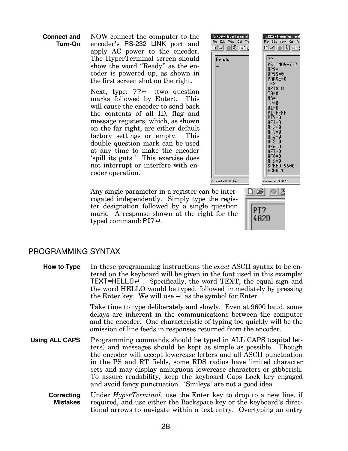**Connect and Turn-On**

NOW connect the computer to the encoder's RS-232 LINK port and apply AC power to the encoder. The HyperTerminal screen should show the word "Ready" as the encoder is powered up, as shown in the first screen shot on the right.

Next, type:  $??4$  (two question marks followed by Enter). This will cause the encoder to send back the contents of all ID, flag and message registers, which, as shown on the far right, are either default factory settings or empty. This double question mark can be used at any time to make the encoder 'spill its guts.' This exercise does not interrupt or interfere with encoder operation.

Any single parameter in a register can be in rogated independently. Simply type the region ter designation followed by a single que mark. A response shown at the right for typed command:  $PI$ ? $\leftarrow$ .

| RDS - HyperTerminal<br>File Edit<br>View Call<br>Tra<br>DIGI<br>$\odot$ 3<br>$\mathbb{E}[\mathbf{E}]$ | RDS - HyperTerminal<br>Edit<br>View Call<br>File<br>Tra<br>∩⊯ม<br>8<br>$\mathbb{E}[\mathbf{r}]$                                                                                                                                                                                                            |
|-------------------------------------------------------------------------------------------------------|------------------------------------------------------------------------------------------------------------------------------------------------------------------------------------------------------------------------------------------------------------------------------------------------------------|
| Ready<br>Connected 0:00:04                                                                            | ??<br>PS=INOV-712<br>$DPS=$<br>DPSS=0<br>ARSE=0<br>$\mathsf{F}\mathsf{X} \mathsf{T}$ =<br>RTS=0<br>ra=0<br>$MS=1$<br>$TP = 0$<br>$DT = 0$<br>$PI = FFFF$<br>PTY=0<br>AF1=0<br>HF 2=0<br>AF3=0<br>IF4=0<br>IF5=0<br>IF6=0<br>$F7 = 0$<br>IF8=0<br>AF9=0<br>SPEED=9600<br><b>ECHO=1</b><br>Connected 0:00:10 |
| be inter-<br>he regis-<br>question<br>for the                                                         | PI?<br>4A2D                                                                                                                                                                                                                                                                                                |

 $\mathbf{H}$ 

**RDS** 

#### PROGRAMMING SYNTAX

**How to Type** In these programming instructions the *exact* ASCII syntax to be entered on the keyboard will be given in the font used in this example: **TEXT=HELLO** $\leftrightarrow$ . Specifically, the word TEXT, the equal sign and the word HELLO would be typed, followed immediately by pressing the Enter key. We will use  $\leftrightarrow$  as the symbol for Enter.

> Take time to type deliberately and slowly. Even at 9600 baud, some delays are inherent in the communications between the computer and the encoder. One characteristic of typing too quickly will be the omission of line feeds in responses returned from the encoder.

- **Using ALL CAPS** Programming commands should be typed in ALL CAPS (capital letters) and messages should be kept as simple as possible. Though the encoder will accept lowercase letters and all ASCII punctuation in the PS and RT fields, some RDS radios have limited character sets and may display ambiguous lowercase characters or gibberish. To assure readability, keep the keyboard Caps Lock key engaged and avoid fancy punctuation. 'Smileys' are not a good idea.
	- **Correcting Mistakes** Under *HyperTerminal*, use the Enter key to drop to a new line, if required, and use either the Backspace key or the keyboard's directional arrows to navigate within a text entry. Overtyping an entry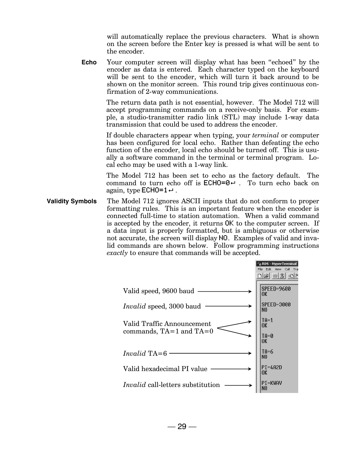will automatically replace the previous characters. What is shown on the screen before the Enter key is pressed is what will be sent to the encoder.

**Echo** Your computer screen will display what has been "echoed" by the encoder as data is entered. Each character typed on the keyboard will be sent to the encoder, which will turn it back around to be shown on the monitor screen. This round trip gives continuous confirmation of 2-way communications.

> The return data path is not essential, however. The Model 712 will accept programming commands on a receive-only basis. For example, a studio-transmitter radio link (STL) may include 1-way data transmission that could be used to address the encoder.

> If double characters appear when typing, your *terminal* or computer has been configured for local echo. Rather than defeating the echo function of the encoder, local echo should be turned off. This is usually a software command in the terminal or terminal program. Local echo may be used with a 1-way link.

> The Model 712 has been set to echo as the factory default. The command to turn echo off is  $ECHO=0$ . To turn echo back on again, type  $ECHO=1 \leftrightarrow$ .

**Validity Symbols** The Model 712 ignores ASCII inputs that do not conform to proper formatting rules. This is an important feature when the encoder is connected full-time to station automation. When a valid command is accepted by the encoder, it returns OK to the computer screen. If a data input is properly formatted, but is ambiguous or otherwise not accurate, the screen will display NO. Examples of valid and invalid commands are shown below. Follow programming instructions *exactly* to ensure that commands will be accepted.

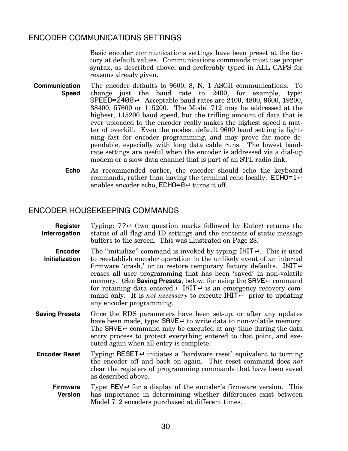#### ENCODER COMMUNICATIONS SETTINGS

Basic encoder communications settings have been preset at the factory at default values. Communications commands must use proper syntax, as described above, and preferably typed in ALL CAPS for reasons already given.

- **Communication Speed** The encoder defaults to 9600, 8, N, 1 ASCII communications. To change just the baud rate to 2400, for example, type: SPEED=2400←. Acceptable baud rates are 2400, 4800, 9600, 19200, 38400, 57600 or 115200. The Model 712 may be addressed at the highest, 115200 baud speed, but the trifling amount of data that is ever uploaded to the encoder really makes the highest speed a matter of overkill. Even the modest default 9600 baud setting is lightning fast for encoder programming, and may prove far more dependable, especially with long data cable runs. The lowest baudrate settings are useful when the encoder is addressed via a dial-up modem or a slow data channel that is part of an STL radio link.
	- **Echo** As recommended earlier, the encoder should echo the keyboard commands, rather than having the terminal echo locally.  $ECHO=1\leftrightarrow$ enables encoder echo,  $ECHO=0$  turns it off.

#### ENCODER HOUSEKEEPING COMMANDS

- **Register Interrogation** Typing:  $?$ ? $\leftrightarrow$  (two question marks followed by Enter) returns the status of all flag and ID settings and the contents of static message buffers to the screen. This was illustrated on Page 28. **Encoder Initialization** The "initialize" command is invoked by typing:  $IMIT \leftarrow$ . This is used to reestablish encoder operation in the unlikely event of an internal firmware 'crash,' or to restore temporary factory defaults. INIT $\leftrightarrow$ erases all user programming that has been 'saved' in non-volatile memory. (See **Saving Presets**, below, for using the SAVE<sup>+</sup> command for retaining data entered.) INIT $\leftrightarrow$  is an emergency recovery command only. It is *not necessary* to execute **INIT** $\leftrightarrow$  prior to updating any encoder programming. **Saving Presets** Once the RDS parameters have been set-up, or after any updates have been made, type:  $SHVE \leftarrow$  to write data to non-volatile memory. The SAVE $\leftrightarrow$  command may be executed at any time during the data entry process to protect everything entered to that point, and executed again when all entry is complete. **Encoder Reset** Typing: RESET  $\leftrightarrow$  initiates a 'hardware reset' equivalent to turning the encoder off and back on again. This reset command does *not* clear the registers of programming commands that have been saved as described above. **Firmware** Type:  $REV \leftarrow$  for a display of the encoder's firmware version. This
	- **Version** has importance in determining whether differences exist between Model 712 encoders purchased at different times.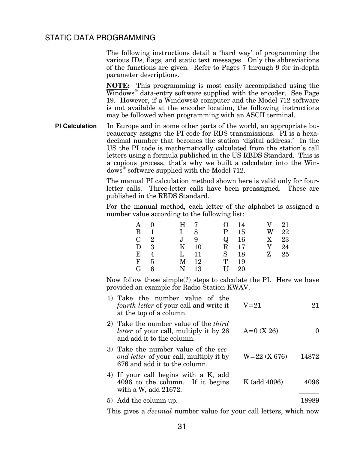#### STATIC DATA PROGRAMMING

The following instructions detail a 'hard way' of programming the various IDs, flags, and static text messages. Only the abbreviations of the functions are given. Refer to Pages 7 through 9 for in-depth parameter descriptions.

**NOTE:** This programming is most easily accomplished using the Windows® data-entry software supplied with the encoder. See Page 19. However, if a Windows® computer and the Model 712 software is not available at the encoder location, the following instructions may be followed when programming with an ASCII terminal.

**PI Calculation** In Europe and in some other parts of the world, an appropriate bureaucracy assigns the PI code for RDS transmissions. PI is a hexadecimal number that becomes the station 'digital address.' In the US the PI code is mathematically calculated from the station's call letters using a formula published in the US RBDS Standard. This is a copious process, that's why we built a calculator into the Windows® software supplied with the Model 712.

> The manual PI calculation method shown here is valid only for fourletter calls. Three-letter calls have been preassigned. These are published in the RBDS Standard.

> For the manual method, each letter of the alphabet is assigned a number value according to the following list:

| Α           |              | H 7          |        | $\Omega$      | 14   | V                         | 21 |
|-------------|--------------|--------------|--------|---------------|------|---------------------------|----|
| B           | $\mathbf{1}$ | $\mathbf{I}$ | 8      | P –           | 15   | W                         | 22 |
| $C \quad 2$ |              | $J \quad 9$  |        | $\rm Q$       | 16   | $\boldsymbol{\mathrm{X}}$ | 23 |
| $D \quad 3$ |              | K            | -10    |               | R 17 | Y                         | 24 |
| E           | 4            | $\mathbf{L}$ | 11     | $S_{\text{}}$ | 18   | $\mathbf{Z}$              | 25 |
| F           | -5           |              | $M$ 12 | T             | 19   |                           |    |
| G           | հ            | N            | 13     | $\mathbf{H}$  | 20   |                           |    |

Now follow these simple(?) steps to calculate the PI. Here we have provided an example for Radio Station KWAV.

| 1) Take the number value of the<br><i>fourth letter</i> of your call and write it<br>at the top of a column.               | $V = 21$         | 21    |
|----------------------------------------------------------------------------------------------------------------------------|------------------|-------|
| 2) Take the number value of the <i>third</i><br><i>letter</i> of your call, multiply it by 26<br>and add it to the column. | $A=0$ (X 26)     |       |
| 3) Take the number value of the sec-<br><i>ond letter</i> of your call, multiply it by<br>676 and add it to the column.    | $W = 22$ (X 676) | 14872 |
| 4) If your call begins with a K, add<br>4096 to the column. If it begins<br>with a W, add 21672.                           | K (add 4096)     | 4096  |
| 5) Add the column up.                                                                                                      |                  | 18989 |
|                                                                                                                            |                  |       |

This gives a *decimal* number value for your call letters, which now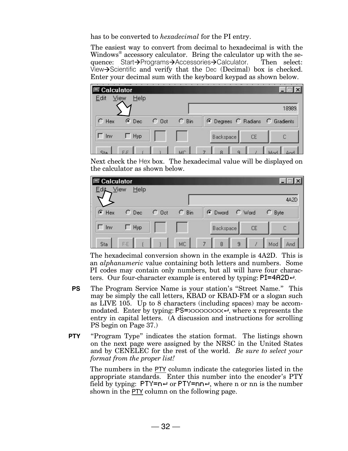has to be converted to *hexadecimal* for the PI entry.

The easiest way to convert from decimal to hexadecimal is with the Windows<sup>®</sup> accessory calculator. Bring the calculator up with the sequence: Start $\rightarrow$ Programs $\rightarrow$ Accessories $\rightarrow$ Calculator. Then select: View $\rightarrow$ Scientific and verify that the Dec (Decimal) box is checked. Enter your decimal sum with the keyboard keypad as shown below.

| <b>E</b> Calculator<br>Edit | View<br>Help |            |         | the control of the control of the control of<br><b>STATISTICS</b><br><b>CONSULTING</b><br><b>CONTRACTOR</b> |
|-----------------------------|--------------|------------|---------|-------------------------------------------------------------------------------------------------------------|
|                             |              |            |         | 18989                                                                                                       |
| $C$ Hex                     | $\odot$ Dec  | $\cap$ Oct | $C$ Bin | C Degrees C Radians C Gradients                                                                             |
| Inv                         | Hyp          |            |         | <b>Backspace</b><br>CE                                                                                      |
|                             |              |            | MC      | o                                                                                                           |

Next check the Hex box. The hexadecimal value will be displayed on the calculator as shown below.



The hexadecimal conversion shown in the example is 4A2D. This is an *alphanumeric* value containing both letters and numbers. Some PI codes may contain only numbers, but all will have four characters. Our four-character example is entered by typing:  $PI=4A2D-1$ .

- **PS** The Program Service Name is your station's "Street Name." This may be simply the call letters, KBAD or KBAD-FM or a slogan such as LIVE 105. Up to 8 characters (including spaces) may be accommodated. Enter by typing:  $PS=xxxxxxx \times x \times e$ , where x represents the entry in capital letters. (A discussion and instructions for scrolling PS begin on Page 37.)
- **PTY** "Program Type" indicates the station format. The listings shown on the next page were assigned by the NRSC in the United States and by CENELEC for the rest of the world. *Be sure to select your format from the proper list!*

The numbers in the PTY column indicate the categories listed in the appropriate standards. Enter this number into the encoder's PTY field by typing:  $PTY=n \rightarrow or PTY=n \rightarrow$ , where n or nn is the number shown in the PTY column on the following page.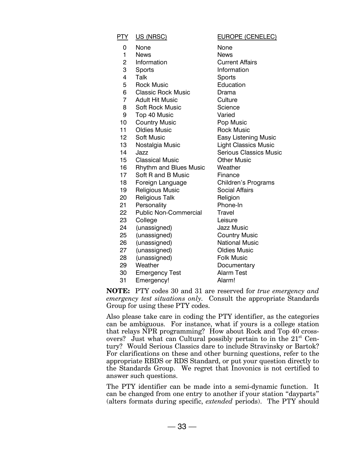| PTY.           | US (NRSC)                     | <b>EUROPE (CENELEC)</b>       |
|----------------|-------------------------------|-------------------------------|
| 0              | None                          | None                          |
| 1              | <b>News</b>                   | <b>News</b>                   |
| $\overline{c}$ | Information                   | <b>Current Affairs</b>        |
| 3              | Sports                        | Information                   |
| 4              | Talk                          | Sports                        |
| 5              | <b>Rock Music</b>             | Education                     |
| 6              | <b>Classic Rock Music</b>     | Drama                         |
| $\overline{7}$ | <b>Adult Hit Music</b>        | Culture                       |
| 8              | <b>Soft Rock Music</b>        | Science                       |
| 9              | Top 40 Music                  | Varied                        |
| 10             | <b>Country Music</b>          | Pop Music                     |
| 11             | <b>Oldies Music</b>           | <b>Rock Music</b>             |
| 12             | <b>Soft Music</b>             | <b>Easy Listening Music</b>   |
| 13             | Nostalgia Music               | <b>Light Classics Music</b>   |
| 14             | Jazz                          | <b>Serious Classics Music</b> |
| 15             | <b>Classical Music</b>        | <b>Other Music</b>            |
| 16             | <b>Rhythm and Blues Music</b> | Weather                       |
| 17             | Soft R and B Music            | Finance                       |
| 18             | Foreign Language              | Children's Programs           |
| 19             | <b>Religious Music</b>        | <b>Social Affairs</b>         |
| 20             | <b>Religious Talk</b>         | Religion                      |
| 21             | Personality                   | Phone-In                      |
| 22             | <b>Public Non-Commercial</b>  | Travel                        |
| 23             | College                       | Leisure                       |
| 24             | (unassigned)                  | <b>Jazz Music</b>             |
| 25             | (unassigned)                  | <b>Country Music</b>          |
| 26             | (unassigned)                  | <b>National Music</b>         |
| 27             | (unassigned)                  | <b>Oldies Music</b>           |
| 28             | (unassigned)                  | <b>Folk Music</b>             |
| 29             | Weather                       | Documentary                   |
| 30             | <b>Emergency Test</b>         | <b>Alarm Test</b>             |
| 31             | Emergency!                    | Alarm!                        |

**NOTE:** PTY codes 30 and 31 are reserved for *true emergency and emergency test situations only.* Consult the appropriate Standards Group for using these PTY codes.

Also please take care in coding the PTY identifier, as the categories can be ambiguous. For instance, what if yours is a college station that relays NPR programming? How about Rock and Top 40 crossovers? Just what can Cultural possibly pertain to in the  $21<sup>st</sup>$  Century? Would Serious Classics dare to include Stravinsky or Bartok? For clarifications on these and other burning questions, refer to the appropriate RBDS or RDS Standard, or put your question directly to the Standards Group. We regret that Inovonics is not certified to answer such questions.

The PTY identifier can be made into a semi-dynamic function. It can be changed from one entry to another if your station "dayparts" (alters formats during specific, *extended* periods). The PTY should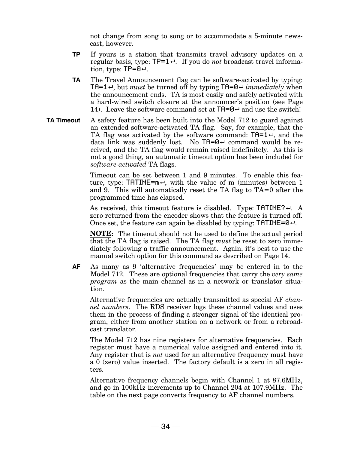not change from song to song or to accommodate a 5-minute newscast, however.

- **TP** If yours is a station that transmits travel advisory updates on a regular basis, type:  $TP=1 \leftrightarrow$ . If you do *not* broadcast travel information, type:  $TP = 0 \rightarrow$ .
- **TA** The Travel Announcement flag can be software-activated by typing: **TA=1** $\leftrightarrow$ , but *must* be turned off by typing **TA=0** $\leftrightarrow$  *immediately* when the announcement ends. TA is most easily and safely activated with a hard-wired switch closure at the announcer's position (see Page 14). Leave the software command set at  $TH = 0 \rightarrow$  and use the switch!
- **TA Timeout** A safety feature has been built into the Model 712 to guard against an extended software-activated TA flag. Say, for example, that the TA flag was activated by the software command:  $TH=1.4$ , and the data link was suddenly lost. No  $TH = 0 \rightarrow$  command would be received, and the TA flag would remain raised indefinitely. As this is not a good thing, an automatic timeout option has been included for *software-activated* TA flags.

Timeout can be set between 1 and 9 minutes. To enable this feature, type:  $TATIME=m\rightarrow$ , with the value of m (minutes) between 1 and 9. This will automatically reset the TA flag to TA=0 after the programmed time has elapsed.

As received, this timeout feature is disabled. Type:  $TATIME? \leftarrow$ . A zero returned from the encoder shows that the feature is turned off. Once set, the feature can again be disabled by typing:  $TATIME = 0 \rightarrow$ .

**NOTE:** The timeout should not be used to define the actual period that the TA flag is raised. The TA flag *must* be reset to zero immediately following a traffic announcement. Again, it's best to use the manual switch option for this command as described on Page 14.

AF As many as 9 'alternative frequencies' may be entered in to the Model 712. These are optional frequencies that carry the *very same program* as the main channel as in a network or translator situation.

Alternative frequencies are actually transmitted as special AF *channel numbers*. The RDS receiver logs these channel values and uses them in the process of finding a stronger signal of the identical program, either from another station on a network or from a rebroadcast translator.

The Model 712 has nine registers for alternative frequencies. Each register must have a numerical value assigned and entered into it. Any register that is *not* used for an alternative frequency must have a 0 (zero) value inserted. The factory default is a zero in all registers.

Alternative frequency channels begin with Channel 1 at 87.6MHz, and go in 100kHz increments up to Channel 204 at 107.9MHz. The table on the next page converts frequency to AF channel numbers.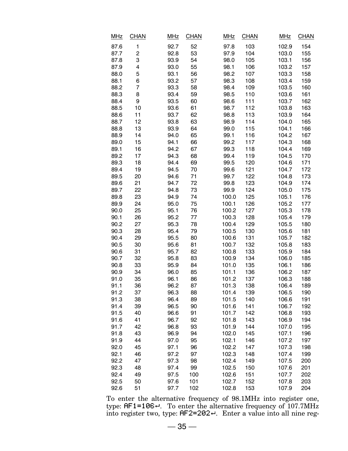| <u>MHz</u> | <b>CHAN</b>             | <b>MHz</b> | <b>CHAN</b> | <b>MHz</b> | <b>CHAN</b> | <b>MHz</b> | <b>CHAN</b> |
|------------|-------------------------|------------|-------------|------------|-------------|------------|-------------|
| 87.6       | 1                       | 92.7       | 52          | 97.8       | 103         | 102.9      | 154         |
| 87.7       | $\overline{\mathbf{c}}$ | 92.8       | 53          | 97.9       | 104         | 103.0      | 155         |
| 87.8       | 3                       | 93.9       | 54          | 98.0       | 105         | 103.1      | 156         |
| 87.9       | 4                       | 93.0       | 55          | 98.1       | 106         | 103.2      | 157         |
| 88.0       | 5                       | 93.1       | 56          | 98.2       | 107         | 103.3      | 158         |
| 88.1       | 6                       | 93.2       | 57          | 98.3       | 108         | 103.4      | 159         |
| 88.2       | 7                       | 93.3       | 58          | 98.4       | 109         | 103.5      | 160         |
| 88.3       | 8                       | 93.4       | 59          | 98.5       | 110         | 103.6      | 161         |
| 88.4       | 9                       | 93.5       | 60          | 98.6       | 111         | 103.7      | 162         |
| 88.5       | 10                      | 93.6       | 61          | 98.7       | 112         | 103.8      | 163         |
| 88.6       | 11                      | 93.7       | 62          | 98.8       | 113         | 103.9      | 164         |
| 88.7       | 12                      | 93.8       | 63          | 98.9       | 114         | 104.0      | 165         |
| 88.8       | 13                      | 93.9       | 64          | 99.0       | 115         | 104.1      | 166         |
| 88.9       | 14                      | 94.0       | 65          | 99.1       | 116         | 104.2      | 167         |
| 89.0       | 15                      | 94.1       | 66          | 99.2       | 117         | 104.3      | 168         |
| 89.1       | 16                      | 94.2       | 67          | 99.3       | 118         | 104.4      | 169         |
| 89.2       | 17                      | 94.3       | 68          | 99.4       | 119         | 104.5      | 170         |
| 89.3       | 18                      | 94.4       | 69          | 99.5       | 120         | 104.6      | 171         |
| 89.4       | 19                      | 94.5       | 70          | 99.6       | 121         | 104.7      | 172         |
| 89.5       | 20                      | 94.6       | 71          | 99.7       | 122         | 104.8      | 173         |
| 89.6       | 21                      | 94.7       | 72          | 99.8       | 123         | 104.9      | 174         |
| 89.7       | 22                      | 94.8       | 73          | 99.9       | 124         | 105.0      | 175         |
| 89.8       | 23                      | 94.9       | 74          | 100.0      | 125         | 105.1      | 176         |
| 89.9       | 24                      | 95.0       | 75          | 100.1      | 126         | 105.2      | 177         |
| 90.0       | 25                      | 95.1       | 76          | 100.2      | 127         | 105.3      | 178         |
| 90.1       | 26                      | 95.2       | 77          | 100.3      | 128         | 105.4      | 179         |
| 90.2       | 27                      | 95.3       | 78          | 100.4      | 129         | 105.5      | 180         |
| 90.3       | 28                      | 95.4       | 79          | 100.5      | 130         | 105.6      | 181         |
| 90.4       | 29                      | 95.5       | 80          | 100.6      | 131         | 105.7      | 182         |
| 90.5       | 30                      | 95.6       | 81          | 100.7      | 132         | 105.8      | 183         |
| 90.6       | 31                      | 95.7       | 82          | 100.8      | 133         | 105.9      | 184         |
| 90.7       | 32                      | 95.8       | 83          | 100.9      | 134         | 106.0      | 185         |
| 90.8       | 33                      | 95.9       | 84          | 101.0      | 135         | 106.1      | 186         |
| 90.9       | 34                      | 96.0       | 85          | 101.1      | 136         | 106.2      | 187         |
| 91.0       | 35                      | 96.1       | 86          | 101.2      | 137         | 106.3      | 188         |
| 91.1       | 36                      | 96.2       | 87          | 101.3      | 138         | 106.4      | 189         |
| 91.2       | 37                      | 96.3       | 88          | 101.4      | 139         | 106.5      | 190         |
| 91.3       | 38                      | 96.4       | 89          | 101.5      | 140         | 106.6      | 191         |
| 91.4       | 39                      | 96.5       | 90          | 101.6      | 141         | 106.7      | 192         |
| 91.5       | 40                      | 96.6       | 91          | 101.7      | 142         | 106.8      | 193         |
| 91.6       | 41                      | 96.7       | 92          | 101.8      | 143         | 106.9      | 194         |
| 91.7       | 42                      | 96.8       | 93          | 101.9      | 144         | 107.0      | 195         |
| 91.8       | 43                      | 96.9       | 94          | 102.0      | 145         | 107.1      | 196         |
| 91.9       | 44                      | 97.0       | 95          | 102.1      | 146         | 107.2      | 197         |
| 92.0       | 45                      | 97.1       | 96          | 102.2      | 147         | 107.3      | 198         |
| 92.1       | 46                      | 97.2       | 97          | 102.3      | 148         | 107.4      | 199         |
| 92.2       | 47                      | 97.3       | 98          | 102.4      | 149         | 107.5      | 200         |
| 92.3       | 48                      | 97.4       | 99          | 102.5      | 150         | 107.6      | 201         |
| 92.4       | 49                      | 97.5       | 100         | 102.6      | 151         | 107.7      | 202         |
| 92.5       | 50                      | 97.6       | 101         | 102.7      | 152         | 107.8      | 203         |
| 92.6       | 51                      | 97.7       | 102         | 102.8      | 153         | 107.9      | 204         |

To enter the alternative frequency of 98.1MHz into register one, type:  $\text{HF1=106-}.$  To enter the alternative frequency of 107.7MHz into register two, type:  $HF2=202-1$ . Enter a value into all nine reg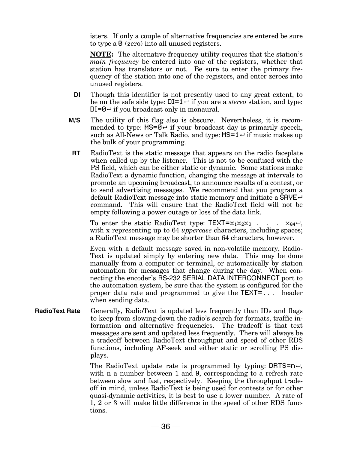isters. If only a couple of alternative frequencies are entered be sure to type a  $\theta$  (zero) into all unused registers.

**NOTE:** The alternative frequency utility requires that the station's *main frequency* be entered into one of the registers, whether that station has translators or not. Be sure to enter the primary frequency of the station into one of the registers, and enter zeroes into unused registers.

- **DI** Though this identifier is not presently used to any great extent, to be on the safe side type:  $DI=1 \rightarrow$  if you are a *stereo* station, and type:  $DI = 0 \rightarrow$  if you broadcast only in monaural.
- **M/S** The utility of this flag also is obscure. Nevertheless, it is recommended to type:  $MS = 0 \div$  if your broadcast day is primarily speech, such as All-News or Talk Radio, and type:  $MS=1 \leftrightarrow if$  music makes up the bulk of your programming.
- **RT** RadioText is the static message that appears on the radio faceplate when called up by the listener. This is not to be confused with the PS field, which can be either static or dynamic. Some stations make RadioText a dynamic function, changing the message at intervals to promote an upcoming broadcast, to announce results of a contest, or to send advertising messages. We recommend that you program a default RadioText message into static memory and initiate a  $SHVE \rightarrow$ command. This will ensure that the RadioText field will not be empty following a power outage or loss of the data link.

To enter the static RadioText type:  $TEXT=x_1x_2x_3$  . . .  $x_{64}$ . with x representing up to 64 *uppercase* characters, including spaces; a RadioText message may be shorter than 64 characters, however.

Even with a default message saved in non-volatile memory, Radio-Text is updated simply by entering new data. This may be done manually from a computer or terminal, or automatically by station automation for messages that change during the day. When connecting the encoder's RS-232 SERIAL DATA INTERCONNECT port to the automation system, be sure that the system is configured for the proper data rate and programmed to give the TEXT=... header when sending data.

**RadioText Rate** Generally, RadioText is updated less frequently than IDs and flags to keep from slowing-down the radio's search for formats, traffic information and alternative frequencies. The tradeoff is that text messages are sent and updated less frequently. There will always be a tradeoff between RadioText throughput and speed of other RDS functions, including AF-seek and either static or scrolling PS displays.

> The RadioText update rate is programmed by typing: DRTS= $n \leftrightarrow$ , with n a number between 1 and 9, corresponding to a refresh rate between slow and fast, respectively. Keeping the throughput tradeoff in mind, unless RadioText is being used for contests or for other quasi-dynamic activities, it is best to use a lower number. A rate of 1, 2 or 3 will make little difference in the speed of other RDS functions.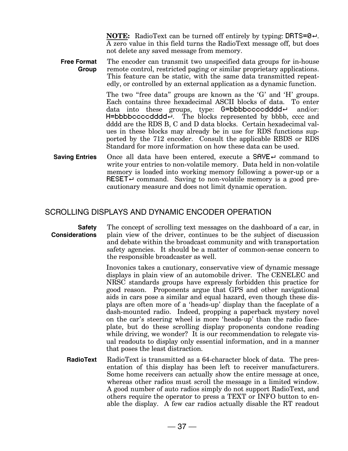**NOTE:** RadioText can be turned off entirely by typing:  $DRTS = 0$ . A zero value in this field turns the RadioText message off, but does not delete any saved message from memory.

**Free Format Group** The encoder can transmit two unspecified data groups for in-house remote control, restricted paging or similar proprietary applications. This feature can be static, with the same data transmitted repeatedly, or controlled by an external application as a dynamic function.

> The two "free data" groups are known as the 'G' and 'H' groups. Each contains three hexadecimal ASCII blocks of data. To enter data into these groups, type:  $G = b \cdot b \cdot b \cdot c \cdot c \cdot d \cdot d \cdot d \cdot e$  and/or: H=bbbbccccdddd-. The blocks represented by bbbb, cccc and dddd are the RDS B, C and D data blocks. Certain hexadecimal values in these blocks may already be in use for RDS functions supported by the 712 encoder. Consult the applicable RBDS or RDS Standard for more information on how these data can be used.

**Saving Entries** Once all data have been entered, execute a SAVE<sup>↓</sup> command to write your entries to non-volatile memory. Data held in non-volatile memory is loaded into working memory following a power-up or a RESET  $\leftrightarrow$  command. Saving to non-volatile memory is a good precautionary measure and does not limit dynamic operation.

#### SCROLLING DISPLAYS AND DYNAMIC ENCODER OPERATION

#### **Safety Considerations** The concept of scrolling text messages on the dashboard of a car, in plain view of the driver, continues to be the subject of discussion and debate within the broadcast community and with transportation safety agencies. It should be a matter of common-sense concern to the responsible broadcaster as well.

Inovonics takes a cautionary, conservative view of dynamic message displays in plain view of an automobile driver. The CENELEC and NRSC standards groups have expressly forbidden this practice for good reason. Proponents argue that GPS and other navigational aids in cars pose a similar and equal hazard, even though these displays are often more of a 'heads-up' display than the faceplate of a dash-mounted radio. Indeed, propping a paperback mystery novel on the car's steering wheel is more 'heads-up' than the radio faceplate, but do these scrolling display proponents condone reading while driving, we wonder? It is our recommendation to relegate visual readouts to display only essential information, and in a manner that poses the least distraction.

**RadioText** RadioText is transmitted as a 64-character block of data. The presentation of this display has been left to receiver manufacturers. Some home receivers can actually show the entire message at once, whereas other radios must scroll the message in a limited window. A good number of auto radios simply do not support RadioText, and others require the operator to press a TEXT or INFO button to enable the display. A few car radios actually disable the RT readout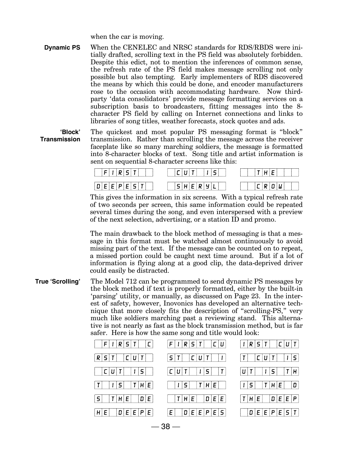when the car is moving.

**Dynamic PS** When the CENELEC and NRSC standards for RDS/RBDS were initially drafted, scrolling text in the PS field was absolutely forbidden. Despite this edict, not to mention the inferences of common sense, the refresh rate of the PS field makes message scrolling not only possible but also tempting. Early implementers of RDS discovered the means by which this could be done, and encoder manufacturers rose to the occasion with accommodating hardware. Now thirdparty 'data consolidators' provide message formatting services on a subscription basis to broadcasters, fitting messages into the 8 character PS field by calling on Internet connections and links to libraries of song titles, weather forecasts, stock quotes and ads.

**JBlock Transmission** The quickest and most popular PS messaging format is "block" transmission. Rather than scrolling the message across the receiver faceplate like so many marching soldiers, the message is formatted into 8-character blocks of text. Song title and artist information is sent on sequential 8-character screens like this:



This gives the information in six screens. With a typical refresh rate of two seconds per screen, this same information could be repeated several times during the song, and even interspersed with a preview of the next selection, advertising, or a station ID and promo.

The main drawback to the block method of messaging is that a message in this format must be watched almost continuously to avoid missing part of the text. If the message can be counted on to repeat, a missed portion could be caught next time around. But if a lot of information is flying along at a good clip, the data-deprived driver could easily be distracted.

**True 'Scrolling'** The Model 712 can be programmed to send dynamic PS messages by the block method if text is properly formatted, either by the built-in 'parsing' utility, or manually, as discussed on Page 23. In the interest of safety, however, Inovonics has developed an alternative technique that more closely fits the description of "scrolling-PS," very much like soldiers marching past a reviewing stand. This alternative is not nearly as fast as the block transmission method, but is far safer. Here is how the same song and title would look:

| F   R S T   C           | $ F I R S T $ $ C U $                               | $ I R S T $ $ C U T $                       |
|-------------------------|-----------------------------------------------------|---------------------------------------------|
| $R S T $ $ C U T $      | C U T <br>5 T                                       | $\vert$ $\vert$ $\vert$ 5 $\vert$<br> C U T |
|                         | T <br> C U T <br>    5                              | 1 5 <br> T H                                |
| $ 1 5 $ $ T H E $<br> T | T H E <br>$\vert$ $\vert$ $\vert$ $\vert$ 5 $\vert$ | $ T H E $ $ D $<br> 1 5                     |
| S   T H E   D E         | D E E                                               | $ T H E $ $ D E E P $                       |
| $ D E E P E $<br>HIEI   | $D   E   E   P   E   S  $<br>ΕI                     | $ D E E P E S T $                           |

 $-38 -$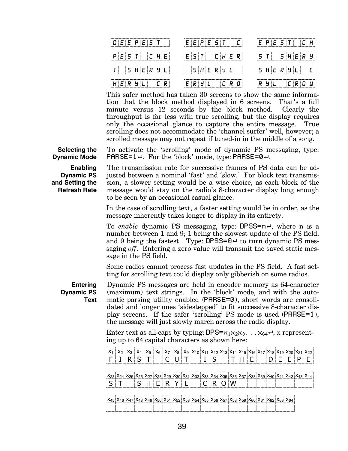

This safer method has taken 30 screens to show the same information that the block method displayed in 6 screens. That's a full minute versus 12 seconds by the block method. Clearly the throughput is far less with true scrolling, but the display requires only the occasional glance to capture the entire message. True scrolling does not accommodate the 'channel surfer' well, however; a scrolled message may not repeat if tuned-in in the middle of a song.

**Selecting the Dynamic Mode**

**Enabling Dynamic PS and Setting the Refresh Rate**

The transmission rate for successive frames of PS data can be adjusted between a nominal 'fast' and 'slow.' For block text transmission, a slower setting would be a wise choice, as each block of the message would stay on the radio's 8-character display long enough

To activate the 'scrolling' mode of dynamic PS messaging, type:

**PARSE=1** $\leftrightarrow$ . For the 'block' mode, type: PARSE=0 $\leftrightarrow$ .

to be seen by an occasional casual glance.

In the case of scrolling text, a faster setting would be in order, as the message inherently takes longer to display in its entirety.

To *enable* dynamic PS messaging, type: DPSS=n<sup>+</sup>, where n is a number between 1 and 9; 1 being the slowest update of the PS field, and 9 being the fastest. Type: DPSS=0 $\leftrightarrow$  to turn dynamic PS messaging *off*. Entering a zero value will transmit the saved static message in the PS field.

Some radios cannot process fast updates in the PS field. A fast setting for scrolling text could display only gibberish on some radios.

**Entering Dynamic PS Text** Dynamic PS messages are held in encoder memory as 64-character (maximum) text strings. In the 'block' mode, and with the automatic parsing utility enabled (PARSE=0), short words are consolidated and longer ones 'sidestepped' to fit successive 8-character display screens. If the safer 'scrolling' PS mode is used  $(PARSE=1)$ , the message will just slowly march across the radio display.

Enter text as all-caps by typing:  $\text{DFS}=\times_1\times_2\times_3$ ... $\times_{64}$ <sup>1</sup>, x representing up to 64 capital characters as shown here:

| $ x_1 x_2 x_3 x_4 x_5 x_6 x_7 x_8 x_9 x_{10} x_{11} x_{12} x_{13} x_{14} x_{15} x_{16} x_{17} x_{18} x_{19} x_{20} x_{21} x_{22} $                            |  |  |  |  |  |  |  |  |  |  |  |
|---------------------------------------------------------------------------------------------------------------------------------------------------------------|--|--|--|--|--|--|--|--|--|--|--|
|                                                                                                                                                               |  |  |  |  |  |  |  |  |  |  |  |
|                                                                                                                                                               |  |  |  |  |  |  |  |  |  |  |  |
| $ X_{23} X_{24} X_{25} X_{26} X_{27} X_{28} X_{29} X_{30} X_{31} X_{32} X_{33} X_{34} X_{35} X_{36} X_{37} X_{38} X_{39} X_{40} X_{41} X_{42} X_{43} X_{44} $ |  |  |  |  |  |  |  |  |  |  |  |
| $ S T $ $ S H E R Y L $ $ C R O W $ $                     $                                                                                                   |  |  |  |  |  |  |  |  |  |  |  |

 $X_{45}$   $X_{46}$   $X_{47}$   $X_{48}$   $X_{49}$   $X_{50}$   $X_{51}$   $X_{52}$   $X_{53}$   $X_{54}$   $X_{55}$   $X_{56}$   $X_{57}$   $X_{58}$   $X_{59}$   $X_{60}$   $X_{61}$   $X_{62}$   $X_{63}$   $X_{64}$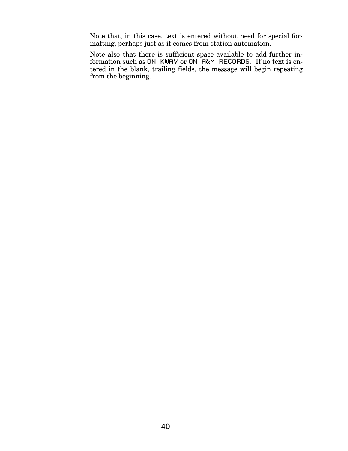Note that, in this case, text is entered without need for special formatting, perhaps just as it comes from station automation.

Note also that there is sufficient space available to add further information such as ON KWAV or ON  $ARM$  RECORDS. If no text is entered in the blank, trailing fields, the message will begin repeating from the beginning.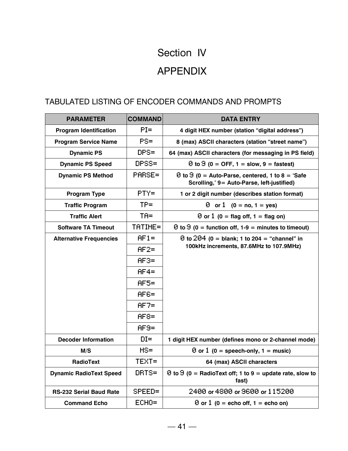## Section IV APPENDIX

#### TABULATED LISTING OF ENCODER COMMANDS AND PROMPTS

| <b>PARAMETER</b>               | <b>COMMAND</b> | <b>DATA ENTRY</b>                                                                                            |
|--------------------------------|----------------|--------------------------------------------------------------------------------------------------------------|
| <b>Program Identification</b>  | $PI =$         | 4 digit HEX number (station "digital address")                                                               |
| <b>Program Service Name</b>    | $PS =$         | 8 (max) ASCII characters (station "street name")                                                             |
| <b>Dynamic PS</b>              | $DFS =$        | 64 (max) ASCII characters (for messaging in PS field)                                                        |
| <b>Dynamic PS Speed</b>        | DPSS=          | $\Theta$ to $\Theta$ (0 = OFF, 1 = slow, 9 = fastest)                                                        |
| <b>Dynamic PS Method</b>       | PARSE=         | $\Theta$ to $\Theta$ (0 = Auto-Parse, centered, 1 to 8 = 'Safe<br>Scrolling,' 9= Auto-Parse, left-justified) |
| <b>Program Type</b>            | $PTY=$         | 1 or 2 digit number (describes station format)                                                               |
| <b>Traffic Program</b>         | $TP =$         | 0 or 1 $(0 = no, 1 = yes)$                                                                                   |
| <b>Traffic Alert</b>           | $TA =$         | $\Theta$ or $1$ (0 = flag off, 1 = flag on)                                                                  |
| <b>Software TA Timeout</b>     | TATIME=        | $\Theta$ to $\Theta$ (0 = function off, 1-9 = minutes to timeout)                                            |
| <b>Alternative Frequencies</b> | $HF1=$         | 0 to $204$ (0 = blank; 1 to 204 = "channel" in                                                               |
|                                | $HF2=$         | 100kHz increments, 87.6MHz to 107.9MHz)                                                                      |
|                                | $AF3=$         |                                                                                                              |
|                                | $HF4=$         |                                                                                                              |
|                                | $AF5=$         |                                                                                                              |
|                                | $AFE =$        |                                                                                                              |
|                                | $AF7=$         |                                                                                                              |
|                                | $HF8=$         |                                                                                                              |
|                                | $HF9=$         |                                                                                                              |
| <b>Decoder Information</b>     | $DI =$         | 1 digit HEX number (defines mono or 2-channel mode)                                                          |
| M/S                            | $MS =$         | $\Theta$ or $1$ (0 = speech-only, 1 = music)                                                                 |
| <b>RadioText</b>               | TEXT=          | 64 (max) ASCII characters                                                                                    |
| <b>Dynamic RadioText Speed</b> | DRTS=          | $\Theta$ to $\Theta$ (0 = RadioText off; 1 to 9 = update rate, slow to<br>fast)                              |
| <b>RS-232 Serial Baud Rate</b> | SPEED=         | 2400 or 4800 or 9600 or 115200                                                                               |
| <b>Command Echo</b>            | $ECHO =$       | $\Theta$ or $1$ (0 = echo off, 1 = echo on)                                                                  |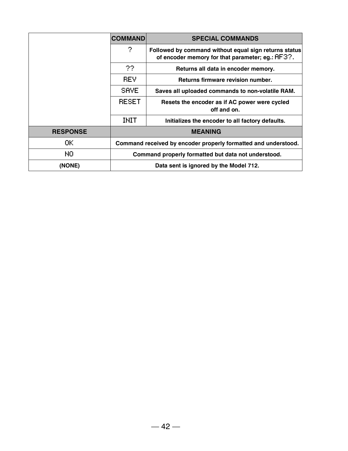|                 | <b>COMMAND</b>                                                 | <b>SPECIAL COMMANDS</b>                                                                                   |  |  |  |
|-----------------|----------------------------------------------------------------|-----------------------------------------------------------------------------------------------------------|--|--|--|
|                 | 2                                                              | Followed by command without equal sign returns status<br>of encoder memory for that parameter; eg.: HF3?. |  |  |  |
|                 | 22.                                                            | Returns all data in encoder memory.                                                                       |  |  |  |
|                 | <b>REV</b>                                                     | Returns firmware revision number.                                                                         |  |  |  |
|                 | SAVE.                                                          | Saves all uploaded commands to non-volatile RAM.                                                          |  |  |  |
|                 | <b>RESET</b>                                                   | Resets the encoder as if AC power were cycled<br>off and on.                                              |  |  |  |
|                 | <b>INIT</b>                                                    | Initializes the encoder to all factory defaults.                                                          |  |  |  |
| <b>RESPONSE</b> | <b>MEANING</b>                                                 |                                                                                                           |  |  |  |
| 0K.             | Command received by encoder properly formatted and understood. |                                                                                                           |  |  |  |
| NO.             |                                                                | Command properly formatted but data not understood.                                                       |  |  |  |
| (NONE)          |                                                                | Data sent is ignored by the Model 712.                                                                    |  |  |  |